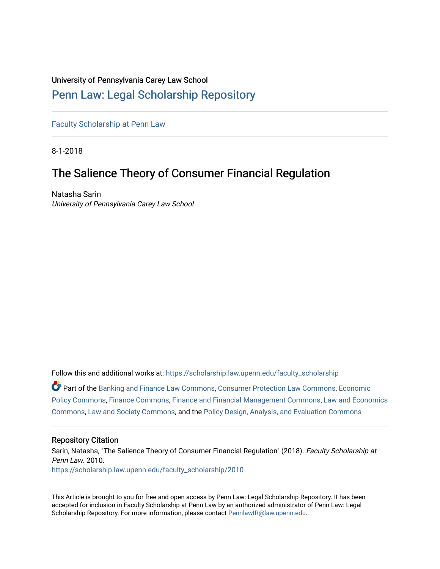# University of Pennsylvania Carey Law School

# [Penn Law: Legal Scholarship Repository](https://scholarship.law.upenn.edu/)

[Faculty Scholarship at Penn Law](https://scholarship.law.upenn.edu/faculty_scholarship)

8-1-2018

# The Salience Theory of Consumer Financial Regulation

Natasha Sarin University of Pennsylvania Carey Law School

Follow this and additional works at: [https://scholarship.law.upenn.edu/faculty\\_scholarship](https://scholarship.law.upenn.edu/faculty_scholarship?utm_source=scholarship.law.upenn.edu%2Ffaculty_scholarship%2F2010&utm_medium=PDF&utm_campaign=PDFCoverPages)  Part of the [Banking and Finance Law Commons,](http://network.bepress.com/hgg/discipline/833?utm_source=scholarship.law.upenn.edu%2Ffaculty_scholarship%2F2010&utm_medium=PDF&utm_campaign=PDFCoverPages) [Consumer Protection Law Commons](http://network.bepress.com/hgg/discipline/838?utm_source=scholarship.law.upenn.edu%2Ffaculty_scholarship%2F2010&utm_medium=PDF&utm_campaign=PDFCoverPages), [Economic](http://network.bepress.com/hgg/discipline/1025?utm_source=scholarship.law.upenn.edu%2Ffaculty_scholarship%2F2010&utm_medium=PDF&utm_campaign=PDFCoverPages)  [Policy Commons](http://network.bepress.com/hgg/discipline/1025?utm_source=scholarship.law.upenn.edu%2Ffaculty_scholarship%2F2010&utm_medium=PDF&utm_campaign=PDFCoverPages), [Finance Commons](http://network.bepress.com/hgg/discipline/345?utm_source=scholarship.law.upenn.edu%2Ffaculty_scholarship%2F2010&utm_medium=PDF&utm_campaign=PDFCoverPages), [Finance and Financial Management Commons](http://network.bepress.com/hgg/discipline/631?utm_source=scholarship.law.upenn.edu%2Ffaculty_scholarship%2F2010&utm_medium=PDF&utm_campaign=PDFCoverPages), [Law and Economics](http://network.bepress.com/hgg/discipline/612?utm_source=scholarship.law.upenn.edu%2Ffaculty_scholarship%2F2010&utm_medium=PDF&utm_campaign=PDFCoverPages)  [Commons](http://network.bepress.com/hgg/discipline/612?utm_source=scholarship.law.upenn.edu%2Ffaculty_scholarship%2F2010&utm_medium=PDF&utm_campaign=PDFCoverPages), [Law and Society Commons,](http://network.bepress.com/hgg/discipline/853?utm_source=scholarship.law.upenn.edu%2Ffaculty_scholarship%2F2010&utm_medium=PDF&utm_campaign=PDFCoverPages) and the [Policy Design, Analysis, and Evaluation Commons](http://network.bepress.com/hgg/discipline/1032?utm_source=scholarship.law.upenn.edu%2Ffaculty_scholarship%2F2010&utm_medium=PDF&utm_campaign=PDFCoverPages)

#### Repository Citation

Sarin, Natasha, "The Salience Theory of Consumer Financial Regulation" (2018). Faculty Scholarship at Penn Law. 2010. [https://scholarship.law.upenn.edu/faculty\\_scholarship/2010](https://scholarship.law.upenn.edu/faculty_scholarship/2010?utm_source=scholarship.law.upenn.edu%2Ffaculty_scholarship%2F2010&utm_medium=PDF&utm_campaign=PDFCoverPages)

This Article is brought to you for free and open access by Penn Law: Legal Scholarship Repository. It has been accepted for inclusion in Faculty Scholarship at Penn Law by an authorized administrator of Penn Law: Legal Scholarship Repository. For more information, please contact [PennlawIR@law.upenn.edu.](mailto:PennlawIR@law.upenn.edu)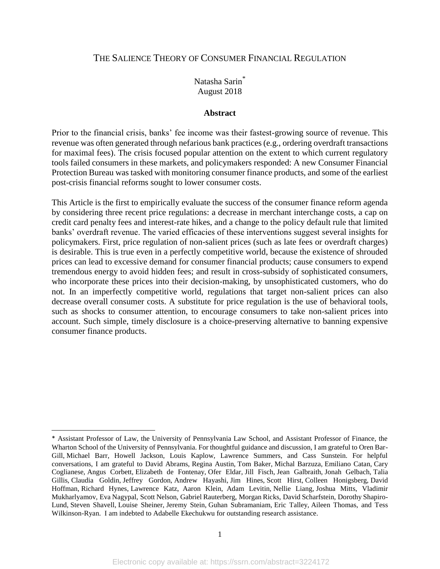# THE SALIENCE THEORY OF CONSUMER FINANCIAL REGULATION

# Natasha Sarin\* August 2018

# **Abstract**

Prior to the financial crisis, banks' fee income was their fastest-growing source of revenue. This revenue was often generated through nefarious bank practices (e.g., ordering overdraft transactions for maximal fees). The crisis focused popular attention on the extent to which current regulatory tools failed consumers in these markets, and policymakers responded: A new Consumer Financial Protection Bureau was tasked with monitoring consumer finance products, and some of the earliest post-crisis financial reforms sought to lower consumer costs.

This Article is the first to empirically evaluate the success of the consumer finance reform agenda by considering three recent price regulations: a decrease in merchant interchange costs, a cap on credit card penalty fees and interest-rate hikes, and a change to the policy default rule that limited banks' overdraft revenue. The varied efficacies of these interventions suggest several insights for policymakers. First, price regulation of non-salient prices (such as late fees or overdraft charges) is desirable. This is true even in a perfectly competitive world, because the existence of shrouded prices can lead to excessive demand for consumer financial products; cause consumers to expend tremendous energy to avoid hidden fees; and result in cross-subsidy of sophisticated consumers, who incorporate these prices into their decision-making, by unsophisticated customers, who do not. In an imperfectly competitive world, regulations that target non-salient prices can also decrease overall consumer costs. A substitute for price regulation is the use of behavioral tools, such as shocks to consumer attention, to encourage consumers to take non-salient prices into account. Such simple, timely disclosure is a choice-preserving alternative to banning expensive consumer finance products.

<sup>\*</sup> Assistant Professor of Law, the University of Pennsylvania Law School, and Assistant Professor of Finance, the Wharton School of the University of Pennsylvania. For thoughtful guidance and discussion, I am grateful to Oren Bar-Gill, Michael Barr, Howell Jackson, Louis Kaplow, Lawrence Summers, and Cass Sunstein. For helpful conversations, I am grateful to David Abrams, Regina Austin, Tom Baker, Michal Barzuza, Emiliano Catan, Cary Coglianese, Angus Corbett, Elizabeth de Fontenay, Ofer Eldar, Jill Fisch, Jean Galbraith, Jonah Gelbach, Talia Gillis, Claudia Goldin, Jeffrey Gordon, Andrew Hayashi, Jim Hines, Scott Hirst, Colleen Honigsberg, David Hoffman, Richard Hynes, Lawrence Katz, Aaron Klein, Adam Levitin, Nellie Liang, Joshua Mitts, Vladimir Mukharlyamov, Eva Nagypal, Scott Nelson, Gabriel Rauterberg, Morgan Ricks, David Scharfstein, Dorothy Shapiro-Lund, Steven Shavell, Louise Sheiner, Jeremy Stein, Guhan Subramaniam, Eric Talley, Aileen Thomas, and Tess Wilkinson-Ryan. I am indebted to Adabelle Ekechukwu for outstanding research assistance.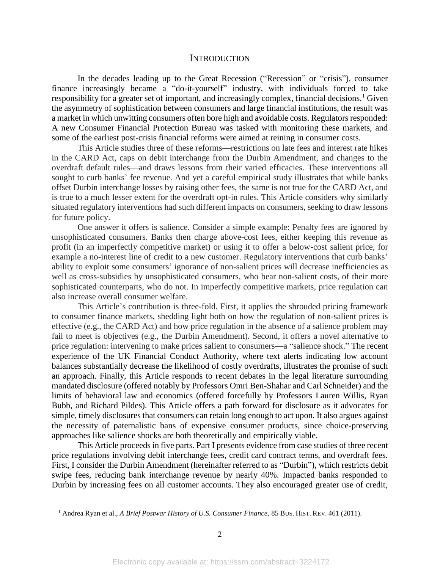## **INTRODUCTION**

In the decades leading up to the Great Recession ("Recession" or "crisis"), consumer finance increasingly became a "do-it-yourself" industry, with individuals forced to take responsibility for a greater set of important, and increasingly complex, financial decisions.<sup>1</sup> Given the asymmetry of sophistication between consumers and large financial institutions, the result was a market in which unwitting consumers often bore high and avoidable costs. Regulators responded: A new Consumer Financial Protection Bureau was tasked with monitoring these markets, and some of the earliest post-crisis financial reforms were aimed at reining in consumer costs.

This Article studies three of these reforms—restrictions on late fees and interest rate hikes in the CARD Act, caps on debit interchange from the Durbin Amendment, and changes to the overdraft default rules—and draws lessons from their varied efficacies. These interventions all sought to curb banks' fee revenue. And yet a careful empirical study illustrates that while banks offset Durbin interchange losses by raising other fees, the same is not true for the CARD Act, and is true to a much lesser extent for the overdraft opt-in rules. This Article considers why similarly situated regulatory interventions had such different impacts on consumers, seeking to draw lessons for future policy.

One answer it offers is salience. Consider a simple example: Penalty fees are ignored by unsophisticated consumers. Banks then charge above-cost fees, either keeping this revenue as profit (in an imperfectly competitive market) or using it to offer a below-cost salient price, for example a no-interest line of credit to a new customer. Regulatory interventions that curb banks' ability to exploit some consumers' ignorance of non-salient prices will decrease inefficiencies as well as cross-subsidies by unsophisticated consumers, who bear non-salient costs, of their more sophisticated counterparts, who do not. In imperfectly competitive markets, price regulation can also increase overall consumer welfare.

This Article's contribution is three-fold. First, it applies the shrouded pricing framework to consumer finance markets, shedding light both on how the regulation of non-salient prices is effective (e.g., the CARD Act) and how price regulation in the absence of a salience problem may fail to meet is objectives (e.g., the Durbin Amendment). Second, it offers a novel alternative to price regulation: intervening to make prices salient to consumers—a "salience shock." The recent experience of the UK Financial Conduct Authority, where text alerts indicating low account balances substantially decrease the likelihood of costly overdrafts, illustrates the promise of such an approach. Finally, this Article responds to recent debates in the legal literature surrounding mandated disclosure (offered notably by Professors Omri Ben-Shahar and Carl Schneider) and the limits of behavioral law and economics (offered forcefully by Professors Lauren Willis, Ryan Bubb, and Richard Pildes). This Article offers a path forward for disclosure as it advocates for simple, timely disclosures that consumers can retain long enough to act upon. It also argues against the necessity of paternalistic bans of expensive consumer products, since choice-preserving approaches like salience shocks are both theoretically and empirically viable.

This Article proceeds in five parts. Part I presents evidence from case studies of three recent price regulations involving debit interchange fees, credit card contract terms, and overdraft fees. First, I consider the Durbin Amendment (hereinafter referred to as "Durbin"), which restricts debit swipe fees, reducing bank interchange revenue by nearly 40%. Impacted banks responded to Durbin by increasing fees on all customer accounts. They also encouraged greater use of credit,

<sup>1</sup> Andrea Ryan et al., *A Brief Postwar History of U.S. Consumer Finance,* 85 BUS. HIST. REV. 461 (2011).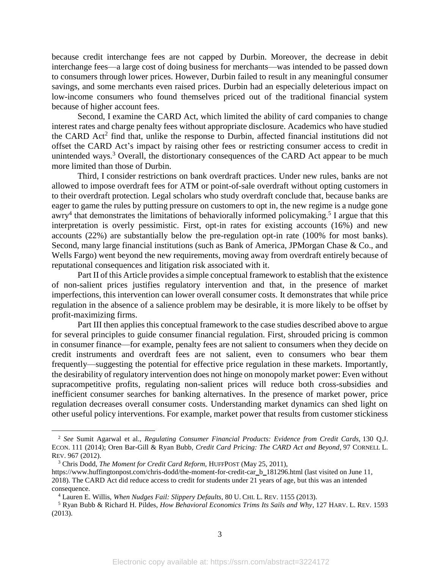because credit interchange fees are not capped by Durbin. Moreover, the decrease in debit interchange fees—a large cost of doing business for merchants—was intended to be passed down to consumers through lower prices. However, Durbin failed to result in any meaningful consumer savings, and some merchants even raised prices. Durbin had an especially deleterious impact on low-income consumers who found themselves priced out of the traditional financial system because of higher account fees.

<span id="page-3-0"></span>Second, I examine the CARD Act, which limited the ability of card companies to change interest rates and charge penalty fees without appropriate disclosure. Academics who have studied the CARD Act<sup>2</sup> find that, unlike the response to Durbin, affected financial institutions did not offset the CARD Act's impact by raising other fees or restricting consumer access to credit in unintended ways.<sup>3</sup> Overall, the distortionary consequences of the CARD Act appear to be much more limited than those of Durbin.

<span id="page-3-2"></span><span id="page-3-1"></span>Third, I consider restrictions on bank overdraft practices. Under new rules, banks are not allowed to impose overdraft fees for ATM or point-of-sale overdraft without opting customers in to their overdraft protection. Legal scholars who study overdraft conclude that, because banks are eager to game the rules by putting pressure on customers to opt in, the new regime is a nudge gone awry<sup>4</sup> that demonstrates the limitations of behaviorally informed policymaking.<sup>5</sup> I argue that this interpretation is overly pessimistic. First, opt-in rates for existing accounts (16%) and new accounts (22%) are substantially below the pre-regulation opt-in rate (100% for most banks). Second, many large financial institutions (such as Bank of America, JPMorgan Chase & Co., and Wells Fargo) went beyond the new requirements, moving away from overdraft entirely because of reputational consequences and litigation risk associated with it.

Part II of this Article provides a simple conceptual framework to establish that the existence of non-salient prices justifies regulatory intervention and that, in the presence of market imperfections, this intervention can lower overall consumer costs. It demonstrates that while price regulation in the absence of a salience problem may be desirable, it is more likely to be offset by profit-maximizing firms.

Part III then applies this conceptual framework to the case studies described above to argue for several principles to guide consumer financial regulation. First, shrouded pricing is common in consumer finance—for example, penalty fees are not salient to consumers when they decide on credit instruments and overdraft fees are not salient, even to consumers who bear them frequently—suggesting the potential for effective price regulation in these markets. Importantly, the desirability of regulatory intervention does not hinge on monopoly market power: Even without supracompetitive profits, regulating non-salient prices will reduce both cross-subsidies and inefficient consumer searches for banking alternatives. In the presence of market power, price regulation decreases overall consumer costs. Understanding market dynamics can shed light on other useful policy interventions. For example, market power that results from customer stickiness

<sup>2</sup> *See* Sumit Agarwal et al., *Regulating Consumer Financial Products: Evidence from Credit Cards,* 130 Q.J. ECON. 111 (2014); Oren Bar-Gill & Ryan Bubb, *Credit Card Pricing: The CARD Act and Beyond*, 97 CORNELL L. REV. 967 (2012).

<sup>&</sup>lt;sup>3</sup> Chris Dodd, *The Moment for Credit Card Reform*, *HUFFPOST* (May 25, 2011),

https://www.huffingtonpost.com/chris-dodd/the-moment-for-credit-car\_b\_181296.html (last visited on June 11, 2018). The CARD Act did reduce access to credit for students under 21 years of age, but this was an intended consequence.

<sup>4</sup> Lauren E. Willis, *When Nudges Fail: Slippery Defaults*, 80 U. CHI. L. REV. 1155 (2013).

<sup>5</sup> Ryan Bubb & Richard H. Pildes, *How Behavioral Economics Trims Its Sails and Why*, 127 HARV. L. REV. 1593 (2013).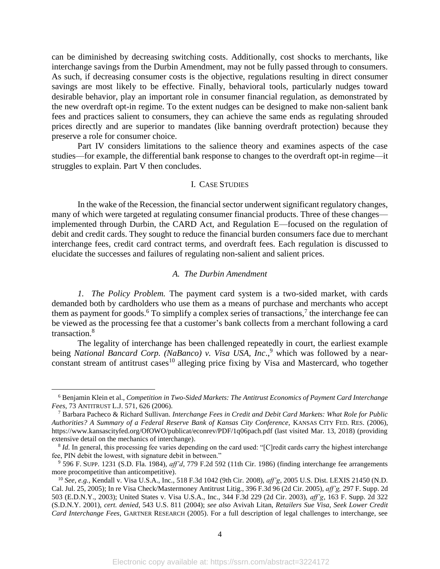can be diminished by decreasing switching costs. Additionally, cost shocks to merchants, like interchange savings from the Durbin Amendment, may not be fully passed through to consumers. As such, if decreasing consumer costs is the objective, regulations resulting in direct consumer savings are most likely to be effective. Finally, behavioral tools, particularly nudges toward desirable behavior, play an important role in consumer financial regulation, as demonstrated by the new overdraft opt-in regime. To the extent nudges can be designed to make non-salient bank fees and practices salient to consumers, they can achieve the same ends as regulating shrouded prices directly and are superior to mandates (like banning overdraft protection) because they preserve a role for consumer choice.

Part IV considers limitations to the salience theory and examines aspects of the case studies—for example, the differential bank response to changes to the overdraft opt-in regime—it struggles to explain. Part V then concludes.

# I. CASE STUDIES

In the wake of the Recession, the financial sector underwent significant regulatory changes, many of which were targeted at regulating consumer financial products. Three of these changes implemented through Durbin, the CARD Act, and Regulation E—focused on the regulation of debit and credit cards. They sought to reduce the financial burden consumers face due to merchant interchange fees, credit card contract terms, and overdraft fees. Each regulation is discussed to elucidate the successes and failures of regulating non-salient and salient prices.

# <span id="page-4-0"></span>*A. The Durbin Amendment*

*1. The Policy Problem.* The payment card system is a two-sided market, with cards demanded both by cardholders who use them as a means of purchase and merchants who accept them as payment for goods.<sup>6</sup> To simplify a complex series of transactions,<sup>7</sup> the interchange fee can be viewed as the processing fee that a customer's bank collects from a merchant following a card transaction. 8

The legality of interchange has been challenged repeatedly in court, the earliest example being *National Bancard Corp. (NaBanco) v. Visa USA, Inc*., <sup>9</sup> which was followed by a nearconstant stream of antitrust cases<sup>10</sup> alleging price fixing by Visa and Mastercard, who together

<sup>6</sup> Benjamin Klein et al., *Competition in Two-Sided Markets: The Antitrust Economics of Payment Card Interchange Fees,* 73 ANTITRUST L.J. 571, 626 (2006).

<sup>7</sup> Barbara Pacheco & Richard Sullivan. *Interchange Fees in Credit and Debit Card Markets: What Role for Public Authorities? A Summary of a Federal Reserve Bank of Kansas City Conference,* KANSAS CITY FED. RES. (2006), https://www.kansascityfed.org/OfOWO/publicat/econrev/PDF/1q06pach.pdf (last visited Mar. 13, 2018) (providing extensive detail on the mechanics of interchange).

<sup>&</sup>lt;sup>8</sup> *Id.* In general, this processing fee varies depending on the card used: "[C]redit cards carry the highest interchange fee, PIN debit the lowest, with signature debit in between."

<sup>9</sup> 596 F. SUPP. 1231 (S.D. Fla. 1984), *aff'd*, 779 F.2d 592 (11th Cir. 1986) (finding interchange fee arrangements more procompetitive than anticompetitive).

<sup>10</sup> *See, e.g.,* Kendall v. Visa U.S.A., Inc., 518 F.3d 1042 (9th Cir. 2008), *aff'g*, 2005 U.S. Dist. LEXIS 21450 (N.D. Cal. Jul. 25, 2005); In re Visa Check/Mastermoney Antitrust Litig., 396 F.3d 96 (2d Cir. 2005), *aff'g,* 297 F. Supp. 2d 503 (E.D.N.Y., 2003); United States v. Visa U.S.A., Inc., 344 F.3d 229 (2d Cir. 2003), *aff'g*, 163 F. Supp. 2d 322 (S.D.N.Y. 2001), *cert. denied*, 543 U.S. 811 (2004); *see also* Avivah Litan, *Retailers Sue Visa, Seek Lower Credit Card Interchange Fees*, GARTNER RESEARCH (2005). For a full description of legal challenges to interchange, see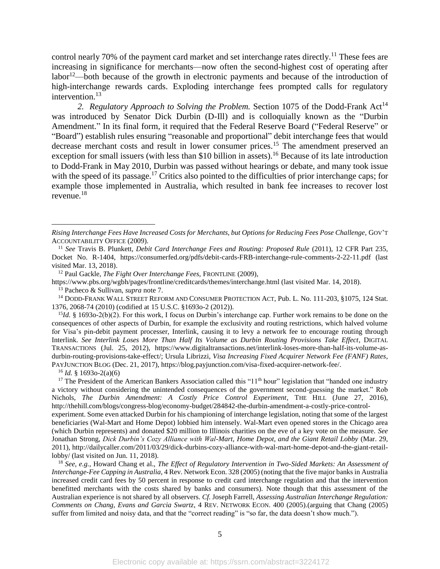control nearly 70% of the payment card market and set interchange rates directly.<sup>11</sup> These fees are increasing in significance for merchants—now often the second-highest cost of operating after labor<sup>12</sup>—both because of the growth in electronic payments and because of the introduction of high-interchange rewards cards. Exploding interchange fees prompted calls for regulatory intervention.<sup>13</sup>

2. Regulatory Approach to Solving the Problem. Section 1075 of the Dodd-Frank Act<sup>14</sup> was introduced by Senator Dick Durbin (D-Ill) and is colloquially known as the "Durbin Amendment." In its final form, it required that the Federal Reserve Board ("Federal Reserve" or "Board") establish rules ensuring "reasonable and proportional" debit interchange fees that would decrease merchant costs and result in lower consumer prices.<sup>15</sup> The amendment preserved an exception for small issuers (with less than \$10 billion in assets).<sup>16</sup> Because of its late introduction to Dodd-Frank in May 2010, Durbin was passed without hearings or debate, and many took issue with the speed of its passage.<sup>17</sup> Critics also pointed to the difficulties of prior interchange caps; for example those implemented in Australia, which resulted in bank fee increases to recover lost revenue. 18

<sup>12</sup> Paul Gackle, *The Fight Over Interchange Fees,* FRONTLINE (2009),

https://www.pbs.org/wgbh/pages/frontline/creditcards/themes/interchange.html (last visited Mar. 14, 2018).

<sup>13</sup> Pacheco & Sullivan, *supra* note [7.](#page-4-0)

<sup>14</sup> DODD-FRANK WALL STREET REFORM AND CONSUMER PROTECTION ACT, Pub. L. No. 111-203, §1075, 124 Stat. 1376, 2068-74 (2010) (codified at 15 U.S.C. §1693o-2 (2012)).

<sup>15</sup>*Id.* § 1693o-2(b)(2). For this work, I focus on Durbin's interchange cap. Further work remains to be done on the consequences of other aspects of Durbin, for example the exclusivity and routing restrictions, which halved volume for Visa's pin-debit payment processer, Interlink, causing it to levy a network fee to encourage routing through Interlink. *See Interlink Loses More Than Half Its Volume as Durbin Routing Provisions Take Effect*, DIGITAL TRANSACTIONS (Jul. 25, 2012), https://www.digitaltransactions.net/interlink-loses-more-than-half-its-volume-asdurbin-routing-provisions-take-effect/; Ursula Librizzi, *Visa Increasing Fixed Acquirer Network Fee (FANF) Rates*, PAYJUNCTION BLOG (Dec. 21, 2017), https://blog.payjunction.com/visa-fixed-acquirer-network-fee/.

 $16$  *Id.* § 1693o-2(a)(6)

<span id="page-5-0"></span> $\overline{a}$ 

<sup>17</sup> The President of the American Bankers Association called this " $11<sup>th</sup>$  hour" legislation that "handed one industry a victory without considering the unintended consequences of the government second-guessing the market." Rob Nichols, *The Durbin Amendment: A Costly Price Control Experiment*, THE HILL (June 27, 2016), http://thehill.com/blogs/congress-blog/economy-budget/284842-the-durbin-amendment-a-costly-price-control-

experiment. Some even attacked Durbin for his championing of interchange legislation, noting that some of the largest beneficiaries (Wal-Mart and Home Depot) lobbied him intensely. Wal-Mart even opened stores in the Chicago area (which Durbin represents) and donated \$20 million to Illinois charities on the eve of a key vote on the measure. *See* Jonathan Strong, *Dick Durbin's Cozy Alliance with Wal-Mart, Home Depot, and the Giant Retail Lobby* (Mar. 29, 2011), http://dailycaller.com/2011/03/29/dick-durbins-cozy-alliance-with-wal-mart-home-depot-and-the-giant-retaillobby/ (last visited on Jun. 11, 2018).

<sup>18</sup> *See, e.g.*, Howard Chang et al., *The Effect of Regulatory Intervention in Two-Sided Markets: An Assessment of Interchange-Fee Capping in Australia*, 4 Rev. Network Econ. 328 (2005) (noting that the five major banks in Australia increased credit card fees by 50 percent in response to credit card interchange regulation and that the intervention benefitted merchants with the costs shared by banks and consumers). Note though that this assessment of the Australian experience is not shared by all observers. *Cf.* Joseph Farrell, *Assessing Australian Interchange Regulation: Comments on Chang, Evans and Garcia Swartz*, 4 REV. NETWORK ECON. 400 (2005).(arguing that Chang (2005) suffer from limited and noisy data, and that the "correct reading" is "so far, the data doesn't show much.").

*Rising Interchange Fees Have Increased Costs for Merchants, but Options for Reducing Fees Pose Challenge,* GOV'T ACCOUNTABILITY OFFICE (2009).

<sup>&</sup>lt;sup>11</sup> See Travis B. Plunkett, *Debit Card Interchange Fees and Routing: Proposed Rule* (2011), 12 CFR Part 235, Docket No. R-1404, https://consumerfed.org/pdfs/debit-cards-FRB-interchange-rule-comments-2-22-11.pdf (last visited Mar. 13, 2018).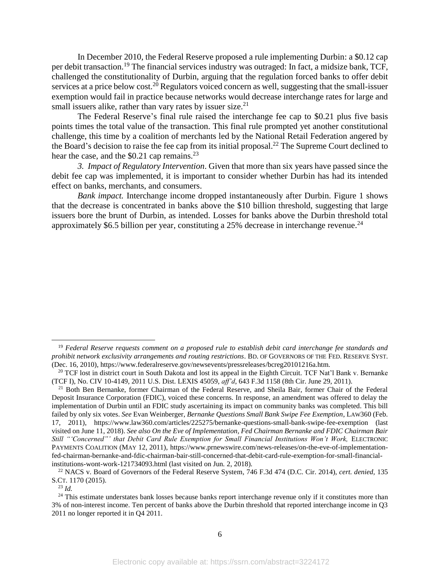In December 2010, the Federal Reserve proposed a rule implementing Durbin: a \$0.12 cap per debit transaction.<sup>19</sup> The financial services industry was outraged: In fact, a midsize bank, TCF, challenged the constitutionality of Durbin, arguing that the regulation forced banks to offer debit services at a price below cost.<sup>20</sup> Regulators voiced concern as well, suggesting that the small-issuer exemption would fail in practice because networks would decrease interchange rates for large and small issuers alike, rather than vary rates by issuer size. $2<sup>1</sup>$ 

The Federal Reserve's final rule raised the interchange fee cap to \$0.21 plus five basis points times the total value of the transaction. This final rule prompted yet another constitutional challenge, this time by a coalition of merchants led by the National Retail Federation angered by the Board's decision to raise the fee cap from its initial proposal.<sup>22</sup> The Supreme Court declined to hear the case, and the  $$0.21$  cap remains.<sup>23</sup>

*3. Impact of Regulatory Intervention*. Given that more than six years have passed since the debit fee cap was implemented, it is important to consider whether Durbin has had its intended effect on banks, merchants, and consumers.

*Bank impact.* Interchange income dropped instantaneously after Durbin. Figure 1 shows that the decrease is concentrated in banks above the \$10 billion threshold, suggesting that large issuers bore the brunt of Durbin, as intended. Losses for banks above the Durbin threshold total approximately \$6.5 billion per year, constituting a 25% decrease in interchange revenue.<sup>24</sup>

<sup>19</sup> *Federal Reserve requests comment on a proposed rule to establish debit card interchange fee standards and prohibit network exclusivity arrangements and routing restrictions*. BD. OF GOVERNORS OF THE FED. RESERVE SYST. (Dec. 16, 2010), https://www.federalreserve.gov/newsevents/pressreleases/bcreg20101216a.htm.

<sup>20</sup> TCF lost in district court in South Dakota and lost its appeal in the Eighth Circuit*.* TCF Nat'l Bank v. Bernanke (TCF I), No. CIV 10-4149, 2011 U.S. Dist. LEXIS 45059, *aff'd*, 643 F.3d 1158 (8th Cir. June 29, 2011).

<sup>&</sup>lt;sup>21</sup> Both Ben Bernanke, former Chairman of the Federal Reserve, and Sheila Bair, former Chair of the Federal Deposit Insurance Corporation (FDIC), voiced these concerns. In response, an amendment was offered to delay the implementation of Durbin until an FDIC study ascertaining its impact on community banks was completed. This bill failed by only six votes. *See* Evan Weinberger, *Bernanke Questions Small Bank Swipe Fee Exemption*, LAW360 (Feb. 17, 2011), https://www.law360.com/articles/225275/bernanke-questions-small-bank-swipe-fee-exemption (last visited on June 11, 2018). *See also On the Eve of Implementation, Fed Chairman Bernanke and FDIC Chairman Bair Still "'Concerned"' that Debit Card Rule Exemption for Small Financial Institutions Won't Work,* ELECTRONIC PAYMENTS COALITION (MAY 12, 2011), https://www.prnewswire.com/news-releases/on-the-eve-of-implementationfed-chairman-bernanke-and-fdic-chairman-bair-still-concerned-that-debit-card-rule-exemption-for-small-financialinstitutions-wont-work-121734093.html (last visited on Jun. 2, 2018).

<sup>22</sup> NACS v. Board of Governors of the Federal Reserve System*,* 746 F.3d 474 (D.C. Cir. 2014), *cert. denied,* 135 S.CT. 1170 (2015).

 $^{23}$  *Id.* 

<sup>&</sup>lt;sup>24</sup> This estimate understates bank losses because banks report interchange revenue only if it constitutes more than 3% of non-interest income. Ten percent of banks above the Durbin threshold that reported interchange income in Q3 2011 no longer reported it in Q4 2011.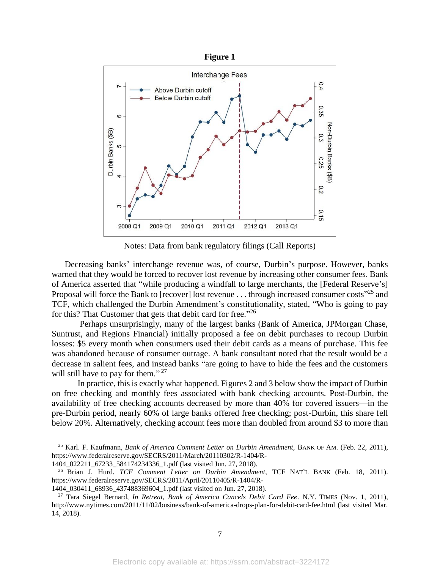

Notes: Data from bank regulatory filings (Call Reports)

Decreasing banks' interchange revenue was, of course, Durbin's purpose. However, banks warned that they would be forced to recover lost revenue by increasing other consumer fees. Bank of America asserted that "while producing a windfall to large merchants, the [Federal Reserve's] Proposal will force the Bank to [recover] lost revenue . . . through increased consumer costs<sup>"25</sup> and TCF, which challenged the Durbin Amendment's constitutionality, stated, "Who is going to pay for this? That Customer that gets that debit card for free."26

Perhaps unsurprisingly, many of the largest banks (Bank of America, JPMorgan Chase, Suntrust, and Regions Financial) initially proposed a fee on debit purchases to recoup Durbin losses: \$5 every month when consumers used their debit cards as a means of purchase. This fee was abandoned because of consumer outrage. A bank consultant noted that the result would be a decrease in salient fees, and instead banks "are going to have to hide the fees and the customers will still have to pay for them."<sup>27</sup>

<span id="page-7-0"></span>In practice, this is exactly what happened. Figures 2 and 3 below show the impact of Durbin on free checking and monthly fees associated with bank checking accounts. Post-Durbin, the availability of free checking accounts decreased by more than 40% for covered issuers—in the pre-Durbin period, nearly 60% of large banks offered free checking; post-Durbin, this share fell below 20%. Alternatively, checking account fees more than doubled from around \$3 to more than

<sup>&</sup>lt;sup>25</sup> Karl. F. Kaufmann, *Bank of America Comment Letter on Durbin Amendment*, BANK OF AM. (Feb. 22, 2011), https://www.federalreserve.gov/SECRS/2011/March/20110302/R-1404/R-1404\_022211\_67233\_584174234336\_1.pdf (last visited Jun. 27, 2018).

<sup>26</sup> Brian J. Hurd. *TCF Comment Letter on Durbin Amendment*, TCF NAT'L BANK (Feb. 18, 2011). https://www.federalreserve.gov/SECRS/2011/April/20110405/R-1404/R-

<sup>1404</sup>\_030411\_68936\_437488369604\_1.pdf (last visited on Jun. 27, 2018).

<sup>27</sup> Tara Siegel Bernard, *In Retreat, Bank of America Cancels Debit Card Fee*. N.Y. TIMES (Nov. 1, 2011), http://www.nytimes.com/2011/11/02/business/bank-of-america-drops-plan-for-debit-card-fee.html (last visited Mar. 14, 2018).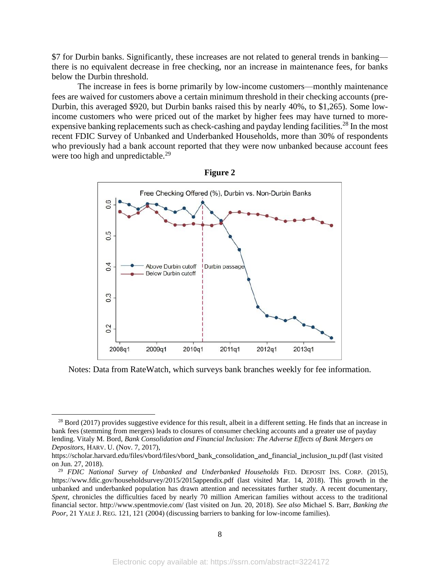\$7 for Durbin banks. Significantly, these increases are not related to general trends in banking there is no equivalent decrease in free checking, nor an increase in maintenance fees, for banks below the Durbin threshold.

The increase in fees is borne primarily by low-income customers—monthly maintenance fees are waived for customers above a certain minimum threshold in their checking accounts (pre-Durbin, this averaged \$920, but Durbin banks raised this by nearly 40%, to \$1,265). Some lowincome customers who were priced out of the market by higher fees may have turned to moreexpensive banking replacements such as check-cashing and payday lending facilities.<sup>28</sup> In the most recent FDIC Survey of Unbanked and Underbanked Households, more than 30% of respondents who previously had a bank account reported that they were now unbanked because account fees were too high and unpredictable.<sup>29</sup>



Notes: Data from RateWatch, which surveys bank branches weekly for fee information.

 $^{28}$  Bord (2017) provides suggestive evidence for this result, albeit in a different setting. He finds that an increase in bank fees (stemming from mergers) leads to closures of consumer checking accounts and a greater use of payday lending. Vitaly M. Bord, *Bank Consolidation and Financial Inclusion: The Adverse Effects of Bank Mergers on Depositors*, HARV. U. (Nov. 7, 2017),

https://scholar.harvard.edu/files/vbord/files/vbord\_bank\_consolidation\_and\_financial\_inclusion\_tu.pdf (last visited on Jun. 27, 2018).

<sup>29</sup> *FDIC National Survey of Unbanked and Underbanked Households* FED. DEPOSIT INS. CORP. (2015), https://www.fdic.gov/householdsurvey/2015/2015appendix.pdf (last visited Mar. 14, 2018). This growth in the unbanked and underbanked population has drawn attention and necessitates further study. A recent documentary, *Spent*, chronicles the difficulties faced by nearly 70 million American families without access to the traditional financial sector. http://www.spentmovie.com/ (last visited on Jun. 20, 2018). *See also* Michael S. Barr, *Banking the Poor*, 21 YALE J. REG. 121, 121 (2004) (discussing barriers to banking for low-income families).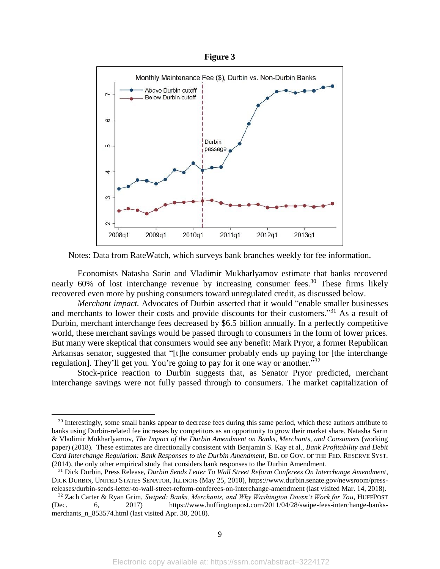

<span id="page-9-0"></span>Notes: Data from RateWatch, which surveys bank branches weekly for fee information.

Economists Natasha Sarin and Vladimir Mukharlyamov estimate that banks recovered nearly 60% of lost interchange revenue by increasing consumer fees.<sup>30</sup> These firms likely recovered even more by pushing consumers toward unregulated credit, as discussed below.

*Merchant impact.* Advocates of Durbin asserted that it would "enable smaller businesses and merchants to lower their costs and provide discounts for their customers."<sup>31</sup> As a result of Durbin, merchant interchange fees decreased by \$6.5 billion annually. In a perfectly competitive world, these merchant savings would be passed through to consumers in the form of lower prices. But many were skeptical that consumers would see any benefit: Mark Pryor, a former Republican Arkansas senator, suggested that "[t]he consumer probably ends up paying for [the interchange regulation]. They'll get you. You're going to pay for it one way or another."<sup>32</sup>

Stock-price reaction to Durbin suggests that, as Senator Pryor predicted, merchant interchange savings were not fully passed through to consumers. The market capitalization of

<sup>&</sup>lt;sup>30</sup> Interestingly, some small banks appear to decrease fees during this same period, which these authors attribute to banks using Durbin-related fee increases by competitors as an opportunity to grow their market share. Natasha Sarin & Vladimir Mukharlyamov, *The Impact of the Durbin Amendment on Banks, Merchants, and Consumers* (working paper) (2018). These estimates are directionally consistent with Benjamin S. Kay et al., *Bank Profitability and Debit Card Interchange Regulation: Bank Responses to the Durbin Amendment,* BD. OF GOV. OF THE FED. RESERVE SYST. (2014), the only other empirical study that considers bank responses to the Durbin Amendment.

<sup>31</sup> Dick Durbin, Press Release, *Durbin Sends Letter To Wall Street Reform Conferees On Interchange Amendment*, DICK DURBIN, UNITED STATES SENATOR, ILLINOIS (May 25, 2010), https://www.durbin.senate.gov/newsroom/pressreleases/durbin-sends-letter-to-wall-street-reform-conferees-on-interchange-amendment (last visited Mar. 14, 2018).

<sup>&</sup>lt;sup>32</sup> Zach Carter & Ryan Grim, *Swiped: Banks, Merchants, and Why Washington Doesn't Work for You*, HUFFPOST<br>2017) https://www.huffingtonpost.com/2011/04/28/swipe-fees-interchange-banks-(Dec. 6, 2017) https://www.huffingtonpost.com/2011/04/28/swipe-fees-interchange-banksmerchants\_n\_853574.html (last visited Apr. 30, 2018).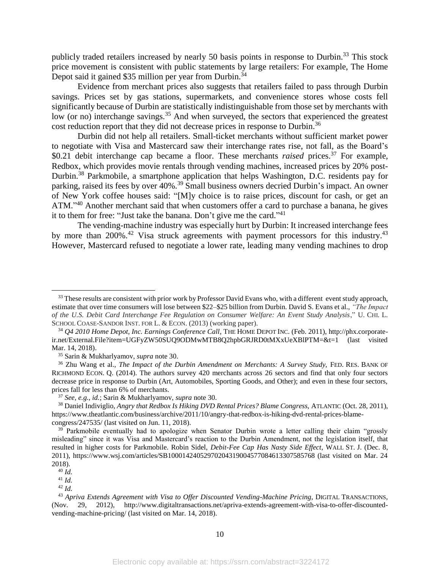publicly traded retailers increased by nearly 50 basis points in response to Durbin.<sup>33</sup> This stock price movement is consistent with public statements by large retailers: For example, The Home Depot said it gained \$35 million per year from Durbin.<sup>34</sup>

Evidence from merchant prices also suggests that retailers failed to pass through Durbin savings. Prices set by gas stations, supermarkets, and convenience stores whose costs fell significantly because of Durbin are statistically indistinguishable from those set by merchants with low (or no) interchange savings.<sup>35</sup> And when surveyed, the sectors that experienced the greatest cost reduction report that they did not decrease prices in response to Durbin.<sup>36</sup>

<span id="page-10-0"></span>Durbin did not help all retailers. Small-ticket merchants without sufficient market power to negotiate with Visa and Mastercard saw their interchange rates rise, not fall, as the Board's \$0.21 debit interchange cap became a floor. These merchants *raised* prices. <sup>37</sup> For example, Redbox, which provides movie rentals through vending machines, increased prices by 20% post-Durbin.<sup>38</sup> Parkmobile, a smartphone application that helps Washington, D.C. residents pay for parking, raised its fees by over 40%.<sup>39</sup> Small business owners decried Durbin's impact. An owner of New York coffee houses said: "[M]y choice is to raise prices, discount for cash, or get an ATM."<sup>40</sup> Another merchant said that when customers offer a card to purchase a banana, he gives it to them for free: "Just take the banana. Don't give me the card."<sup>41</sup>

The vending-machine industry was especially hurt by Durbin: It increased interchange fees by more than 200%.<sup>42</sup> Visa struck agreements with payment processors for this industry.<sup>43</sup> However, Mastercard refused to negotiate a lower rate, leading many vending machines to drop

<sup>&</sup>lt;sup>33</sup> These results are consistent with prior work by Professor David Evans who, with a different event study approach, estimate that over time consumers will lose between \$22–\$25 billion from Durbin. David S. Evans et al., *"The Impact of the U.S. Debit Card Interchange Fee Regulation on Consumer Welfare: An Event Study Analysis*," U. CHI. L. SCHOOL COASE-SANDOR INST. FOR L. & ECON. (2013) (working paper).

<sup>34</sup> *Q4 2010 Home Depot, Inc. Earnings Conference Call*, THE HOME DEPOT INC. (Feb. 2011), http://phx.corporateir.net/External.File?item=UGFyZW50SUQ9ODMwMTB8Q2hpbGRJRD0tMXxUeXBlPTM=&t=1 (last visited Mar. 14, 2018).

<sup>35</sup> Sarin & Mukharlyamov, *supra* not[e 30.](#page-9-0)

<sup>36</sup> Zhu Wang et al., *The Impact of the Durbin Amendment on Merchants: A Survey Study,* FED. RES. BANK OF RICHMOND ECON. Q. (2014). The authors survey 420 merchants across 26 sectors and find that only four sectors decrease price in response to Durbin (Art, Automobiles, Sporting Goods, and Other); and even in these four sectors, prices fall for less than 6% of merchants.

<sup>37</sup> *See, e.g.*, *id.*; Sarin & Mukharlyamov, *supra* note [30.](#page-9-0) 

<sup>38</sup> Daniel Indiviglio, *Angry that Redbox Is Hiking DVD Rental Prices? Blame Congress,* ATLANTIC (Oct. 28, 2011), https://www.theatlantic.com/business/archive/2011/10/angry-that-redbox-is-hiking-dvd-rental-prices-blamecongress/247535/ (last visited on Jun. 11, 2018).

 $39$  Parkmobile eventually had to apologize when Senator Durbin wrote a letter calling their claim "grossly" misleading" since it was Visa and Mastercard's reaction to the Durbin Amendment, not the legislation itself, that resulted in higher costs for Parkmobile. Robin Sidel, *Debit-Fee Cap Has Nasty Side Effect*, WALL ST. J. (Dec. 8, 2011), https://www.wsj.com/articles/SB10001424052970204319004577084613307585768 (last visited on Mar. 24 2018).

 $40 \nightharpoonup d$ .

<sup>41</sup> *Id.*

<sup>42</sup> *Id.*

<sup>43</sup> *Apriva Extends Agreement with Visa to Offer Discounted Vending-Machine Pricing*, DIGITAL TRANSACTIONS, (Nov. 29, 2012), http://www.digitaltransactions.net/apriva-extends-agreement-with-visa-to-offer-discountedvending-machine-pricing/ (last visited on Mar. 14, 2018).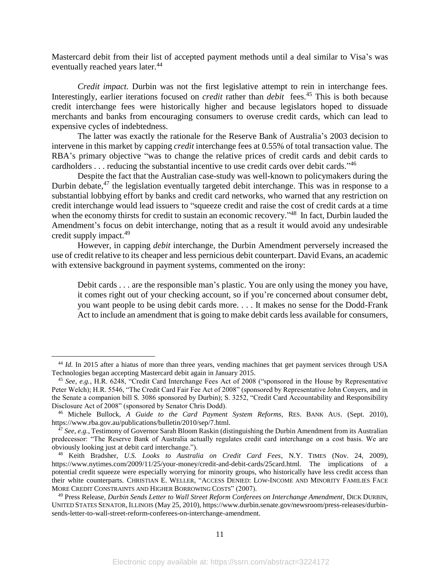Mastercard debit from their list of accepted payment methods until a deal similar to Visa's was eventually reached years later.<sup>44</sup>

*Credit impact.* Durbin was not the first legislative attempt to rein in interchange fees. Interestingly, earlier iterations focused on *credit* rather than *debit* fees. <sup>45</sup> This is both because credit interchange fees were historically higher and because legislators hoped to dissuade merchants and banks from encouraging consumers to overuse credit cards, which can lead to expensive cycles of indebtedness.

The latter was exactly the rationale for the Reserve Bank of Australia's 2003 decision to intervene in this market by capping *credit* interchange fees at 0.55% of total transaction value. The RBA's primary objective "was to change the relative prices of credit cards and debit cards to cardholders . . . reducing the substantial incentive to use credit cards over debit cards."<sup>46</sup>

<span id="page-11-0"></span>Despite the fact that the Australian case-study was well-known to policymakers during the Durbin debate, $47$  the legislation eventually targeted debit interchange. This was in response to a substantial lobbying effort by banks and credit card networks, who warned that any restriction on credit interchange would lead issuers to "squeeze credit and raise the cost of credit cards at a time when the economy thirsts for credit to sustain an economic recovery."<sup>48</sup> In fact, Durbin lauded the Amendment's focus on debit interchange, noting that as a result it would avoid any undesirable credit supply impact.<sup>49</sup>

However, in capping *debit* interchange, the Durbin Amendment perversely increased the use of credit relative to its cheaper and less pernicious debit counterpart. David Evans, an academic with extensive background in payment systems, commented on the irony:

Debit cards . . . are the responsible man's plastic. You are only using the money you have, it comes right out of your checking account, so if you're concerned about consumer debt, you want people to be using debit cards more. . . . It makes no sense for the Dodd-Frank Act to include an amendment that is going to make debit cards less available for consumers,

<sup>&</sup>lt;sup>44</sup> *Id.* In 2015 after a hiatus of more than three years, vending machines that get payment services through USA Technologies began accepting Mastercard debit again in January 2015.

<sup>45</sup> *See, e.g.*, H.R. 6248, "Credit Card Interchange Fees Act of 2008 ("sponsored in the House by Representative Peter Welch); H.R. 5546, "The Credit Card Fair Fee Act of 2008" (sponsored by Representative John Conyers, and in the Senate a companion bill S. 3086 sponsored by Durbin); S. 3252, "Credit Card Accountability and Responsibility Disclosure Act of 2008" (sponsored by Senator Chris Dodd).

<sup>46</sup> Michele Bullock, *A Guide to the Card Payment System Reforms*, RES. BANK AUS. (Sept. 2010), https://www.rba.gov.au/publications/bulletin/2010/sep/7.html.

<sup>47</sup> *See, e.g.*, Testimony of Governor Sarah Bloom Raskin (distinguishing the Durbin Amendment from its Australian predecessor: "The Reserve Bank of Australia actually regulates credit card interchange on a cost basis. We are obviously looking just at debit card interchange.").

<sup>48</sup> Keith Bradsher, *U.S. Looks to Australia on Credit Card Fees*, N.Y. TIMES (Nov. 24, 2009), https://www.nytimes.com/2009/11/25/your-money/credit-and-debit-cards/25card.html. The implications of a potential credit squeeze were especially worrying for minority groups, who historically have less credit access than their white counterparts. CHRISTIAN E. WELLER, "ACCESS DENIED: LOW-INCOME AND MINORITY FAMILIES FACE MORE CREDIT CONSTRAINTS AND HIGHER BORROWING COSTS" (2007).

<sup>49</sup> Press Release, *Durbin Sends Letter to Wall Street Reform Conferees on Interchange Amendment*, DICK DURBIN, UNITED STATES SENATOR, ILLINOIS (May 25, 2010), https://www.durbin.senate.gov/newsroom/press-releases/durbinsends-letter-to-wall-street-reform-conferees-on-interchange-amendment.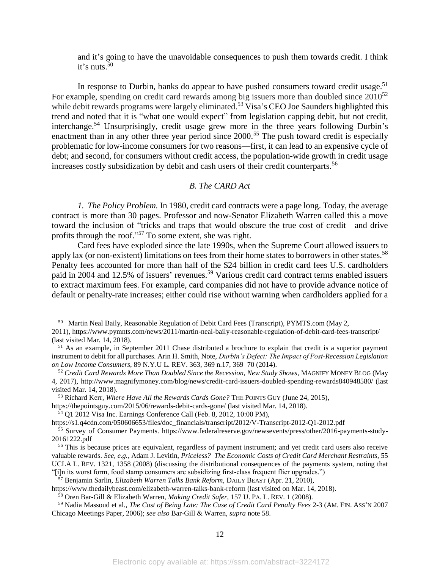and it's going to have the unavoidable consequences to push them towards credit. I think it's nuts. $50$ 

In response to Durbin, banks do appear to have pushed consumers toward credit usage.<sup>51</sup> For example, spending on credit card rewards among big issuers more than doubled since  $2010^{52}$ while debit rewards programs were largely eliminated.<sup>53</sup> Visa's CEO Joe Saunders highlighted this trend and noted that it is "what one would expect" from legislation capping debit, but not credit, interchange. <sup>54</sup> Unsurprisingly, credit usage grew more in the three years following Durbin's enactment than in any other three year period since 2000.<sup>55</sup> The push toward credit is especially problematic for low-income consumers for two reasons—first, it can lead to an expensive cycle of debt; and second, for consumers without credit access, the population-wide growth in credit usage increases costly subsidization by debit and cash users of their credit counterparts.<sup>56</sup>

# <span id="page-12-0"></span>*B. The CARD Act*

*1. The Policy Problem.* In 1980, credit card contracts were a page long. Today, the average contract is more than 30 pages. Professor and now-Senator Elizabeth Warren called this a move toward the inclusion of "tricks and traps that would obscure the true cost of credit—and drive profits through the roof."<sup>57</sup> To some extent, she was right.

Card fees have exploded since the late 1990s, when the Supreme Court allowed issuers to apply lax (or non-existent) limitations on fees from their home states to borrowers in other states.<sup>58</sup> Penalty fees accounted for more than half of the \$24 billion in credit card fees U.S. cardholders paid in 2004 and 12.5% of issuers' revenues.<sup>59</sup> Various credit card contract terms enabled issuers to extract maximum fees. For example, card companies did not have to provide advance notice of default or penalty-rate increases; either could rise without warning when cardholders applied for a

<sup>54</sup> Q1 2012 Visa Inc. Earnings Conference Call (Feb. 8, 2012, 10:00 PM),

 $\overline{a}$ 

https://s1.q4cdn.com/050606653/files/doc\_financials/transcript/2012/V-Transcript-2012-Q1-2012.pdf

<sup>57</sup> Benjamin Sarlin, *Elizabeth Warren Talks Bank Reform,* DAILY BEAST (Apr. 21, 2010),

<sup>&</sup>lt;sup>50</sup> Martin Neal Baily, Reasonable Regulation of Debit Card Fees (Transcript), PYMTS.com (May 2,

<sup>2011),</sup> https://www.pymnts.com/news/2011/martin-neal-baily-reasonable-regulation-of-debit-card-fees-transcript/ (last visited Mar. 14, 2018).

<sup>51</sup> As an example, in September 2011 Chase distributed a brochure to explain that credit is a superior payment instrument to debit for all purchases. Arin H. Smith, Note, *Durbin's Defect: The Impact of Post-Recession Legislation on Low Income Consumers*, 89 N.Y.U L. REV. 363, 369 n.17, 369–70 (2014).

<sup>52</sup> *Credit Card Rewards More Than Doubled Since the Recession, New Study Shows*, MAGNIFY MONEY BLOG (May 4, 2017), http://www.magnifymoney.com/blog/news/credit-card-issuers-doubled-spending-rewards840948580/ (last visited Mar. 14, 2018).

<sup>53</sup> Richard Kerr, *Where Have All the Rewards Cards Gone?* THE POINTS GUY (June 24, 2015),

https://thepointsguy.com/2015/06/rewards-debit-cards-gone/ (last visited Mar. 14, 2018).

<sup>55</sup> Survey of Consumer Payments. https://www.federalreserve.gov/newsevents/press/other/2016-payments-study-20161222.pdf

<sup>&</sup>lt;sup>56</sup> This is because prices are equivalent, regardless of payment instrument; and yet credit card users also receive valuable rewards. *See, e.g.*, Adam J. Levitin, *Priceless? The Economic Costs of Credit Card Merchant Restraints*, 55 UCLA L. REV. 1321, 1358 (2008) (discussing the distributional consequences of the payments system, noting that "[i]n its worst form, food stamp consumers are subsidizing first-class frequent flier upgrades.")

https://www.thedailybeast.com/elizabeth-warren-talks-bank-reform (last visited on Mar. 14, 2018).

<sup>58</sup> Oren Bar-Gill & Elizabeth Warren, *Making Credit Safer*, 157 U. PA. L. REV. 1 (2008).

<sup>59</sup> Nadia Massoud et al., *The Cost of Being Late: The Case of Credit Card Penalty Fees* 2-3 (AM. FIN. ASS'N 2007 Chicago Meetings Paper, 2006); *see also* Bar-Gill & Warren, *supra* note [58.](#page-12-0)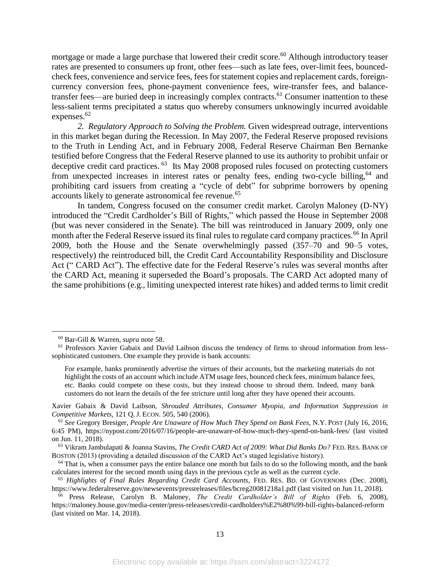mortgage or made a large purchase that lowered their credit score.<sup>60</sup> Although introductory teaser rates are presented to consumers up front, other fees—such as late fees, over-limit fees, bouncedcheck fees, convenience and service fees, fees for statement copies and replacement cards, foreigncurrency conversion fees, phone-payment convenience fees, wire-transfer fees, and balancetransfer fees—are buried deep in increasingly complex contracts.<sup>61</sup> Consumer inattention to these less-salient terms precipitated a status quo whereby consumers unknowingly incurred avoidable expenses.<sup>62</sup>

<span id="page-13-1"></span><span id="page-13-0"></span>*2. Regulatory Approach to Solving the Problem.* Given widespread outrage, interventions in this market began during the Recession. In May 2007, the Federal Reserve proposed revisions to the Truth in Lending Act, and in February 2008, Federal Reserve Chairman Ben Bernanke testified before Congress that the Federal Reserve planned to use its authority to prohibit unfair or deceptive credit card practices. <sup>63</sup> Its May 2008 proposed rules focused on protecting customers from unexpected increases in interest rates or penalty fees, ending two-cycle billing,  $64$  and prohibiting card issuers from creating a "cycle of debt" for subprime borrowers by opening accounts likely to generate astronomical fee revenue.<sup>65</sup>

In tandem, Congress focused on the consumer credit market. Carolyn Maloney (D-NY) introduced the "Credit Cardholder's Bill of Rights," which passed the House in September 2008 (but was never considered in the Senate). The bill was reintroduced in January 2009, only one month after the Federal Reserve issued its final rules to regulate card company practices.<sup>66</sup> In April 2009, both the House and the Senate overwhelmingly passed (357–70 and 90–5 votes, respectively) the reintroduced bill, the Credit Card Accountability Responsibility and Disclosure Act (" CARD Act"). The effective date for the Federal Reserve's rules was several months after the CARD Act, meaning it superseded the Board's proposals. The CARD Act adopted many of the same prohibitions (e.g., limiting unexpected interest rate hikes) and added terms to limit credit

<sup>60</sup> Bar-Gill & Warren, *supra* note [58.](#page-12-0)

<sup>&</sup>lt;sup>61</sup> Professors Xavier Gabaix and David Laibson discuss the tendency of firms to shroud information from lesssophisticated customers. One example they provide is bank accounts:

For example, banks prominently advertise the virtues of their accounts, but the marketing materials do not highlight the costs of an account which include ATM usage fees, bounced check fees, minimum balance fees, etc. Banks could compete on these costs, but they instead choose to shroud them. Indeed, many bank customers do not learn the details of the fee stricture until long after they have opened their accounts.

Xavier Gabaix & David Laibson, *Shrouded Attributes, Consumer Myopia, and Information Suppression in Competitive Markets*, 121 Q. J. ECON. 505, 540 (2006).

<sup>62</sup> *See* Gregory Bresiger, *People Are Unaware of How Much They Spend on Bank Fees*, N.Y. POST (July 16, 2016, 6:45 PM), https://nypost.com/2016/07/16/people-are-unaware-of-how-much-they-spend-on-bank-fees/ (last visited on Jun. 11, 2018).

<sup>63</sup> Vikram Jambulapati & Joanna Stavins, *The Credit CARD Act of 2009: What Did Banks Do?* FED. RES. BANK OF BOSTON (2013) (providing a detailed discussion of the CARD Act's staged legislative history).

 $64$  That is, when a consumer pays the entire balance one month but fails to do so the following month, and the bank calculates interest for the second month using days in the previous cycle as well as the current cycle.

<sup>65</sup> *Highlights of Final Rules Regarding Credit Card Accounts,* FED. RES. BD. OF GOVERNORS (Dec. 2008), https://www.federalreserve.gov/newsevents/pressreleases/files/bcreg20081218a1.pdf (last visited on Jun 11, 2018).

<sup>66</sup> Press Release, Carolyn B. Maloney, *The Credit Cardholder's Bill of Rights* (Feb. 6, 2008), https://maloney.house.gov/media-center/press-releases/credit-cardholders%E2%80%99-bill-rights-balanced-reform (last visited on Mar. 14, 2018).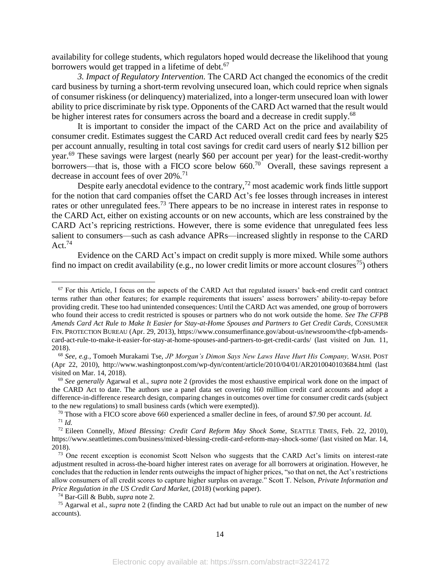availability for college students, which regulators hoped would decrease the likelihood that young borrowers would get trapped in a lifetime of debt.<sup>67</sup>

*3. Impact of Regulatory Intervention.* The CARD Act changed the economics of the credit card business by turning a short-term revolving unsecured loan, which could reprice when signals of consumer riskiness (or delinquency) materialized, into a longer-term unsecured loan with lower ability to price discriminate by risk type. Opponents of the CARD Act warned that the result would be higher interest rates for consumers across the board and a decrease in credit supply.<sup>68</sup>

<span id="page-14-1"></span>It is important to consider the impact of the CARD Act on the price and availability of consumer credit. Estimates suggest the CARD Act reduced overall credit card fees by nearly \$25 per account annually, resulting in total cost savings for credit card users of nearly \$12 billion per year.<sup>69</sup> These savings were largest (nearly \$60 per account per year) for the least-credit-worthy borrowers—that is, those with a FICO score below  $660$ .<sup>70</sup> Overall, these savings represent a decrease in account fees of over 20%. 71

<span id="page-14-0"></span>Despite early anecdotal evidence to the contrary,<sup>72</sup> most academic work finds little support for the notion that card companies offset the CARD Act's fee losses through increases in interest rates or other unregulated fees.<sup>73</sup> There appears to be no increase in interest rates in response to the CARD Act, either on existing accounts or on new accounts, which are less constrained by the CARD Act's repricing restrictions. However, there is some evidence that unregulated fees less salient to consumers—such as cash advance APRs—increased slightly in response to the CARD Act. $74$ 

Evidence on the CARD Act's impact on credit supply is more mixed. While some authors find no impact on credit availability (e.g., no lower credit limits or more account closures<sup>75</sup>) others

<sup>74</sup> Bar-Gill & Bubb, *supra* note [2.](#page-3-0)

 $67$  For this Article, I focus on the aspects of the CARD Act that regulated issuers' back-end credit card contract terms rather than other features; for example requirements that issuers' assess borrowers' ability-to-repay before providing credit. These too had unintended consequences: Until the CARD Act was amended, one group of borrowers who found their access to credit restricted is spouses or partners who do not work outside the home. *See The CFPB Amends Card Act Rule to Make It Easier for Stay-at-Home Spouses and Partners to Get Credit Cards*, CONSUMER FIN. PROTECTION BUREAU (Apr. 29, 2013), https://www.consumerfinance.gov/about-us/newsroom/the-cfpb-amendscard-act-rule-to-make-it-easier-for-stay-at-home-spouses-and-partners-to-get-credit-cards/ (last visited on Jun. 11, 2018).

<sup>68</sup> *See, e.g.,* Tomoeh Murakami Tse, *JP Morgan's Dimon Says New Laws Have Hurt His Company,* WASH. POST (Apr 22, 2010), http://www.washingtonpost.com/wp-dyn/content/article/2010/04/01/AR2010040103684.html (last visited on Mar. 14, 2018).

<sup>69</sup> *See generally* Agarwal et al., *supra* note [2](#page-3-0) (provides the most exhaustive empirical work done on the impact of the CARD Act to date. The authors use a panel data set covering 160 million credit card accounts and adopt a difference-in-difference research design, comparing changes in outcomes over time for consumer credit cards (subject to the new regulations) to small business cards (which were exempted)).

<sup>70</sup> Those with a FICO score above 660 experienced a smaller decline in fees, of around \$7.90 per account. *Id.* <sup>71</sup> *Id.*

<sup>72</sup> Eileen Connelly, *Mixed Blessing: Credit Card Reform May Shock Some,* SEATTLE TIMES, Feb. 22, 2010), https://www.seattletimes.com/business/mixed-blessing-credit-card-reform-may-shock-some/ (last visited on Mar. 14, 2018).

<sup>&</sup>lt;sup>73</sup> One recent exception is economist Scott Nelson who suggests that the CARD Act's limits on interest-rate adjustment resulted in across-the-board higher interest rates on average for all borrowers at origination. However, he concludes that the reduction in lender rents outweighs the impact of higher prices, "so that on net, the Act's restrictions allow consumers of all credit scores to capture higher surplus on average." Scott T. Nelson, *Private Information and Price Regulation in the US Credit Card Market*, (2018) (working paper).

<sup>75</sup> Agarwal et al., *supra* note [2](#page-3-0) (finding the CARD Act had but unable to rule out an impact on the number of new accounts).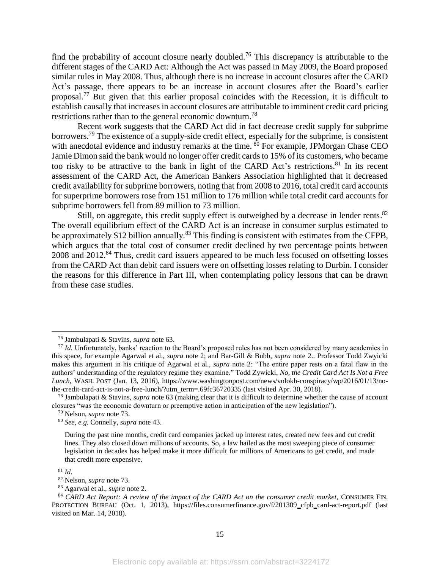find the probability of account closure nearly doubled.<sup>76</sup> This discrepancy is attributable to the different stages of the CARD Act: Although the Act was passed in May 2009, the Board proposed similar rules in May 2008. Thus, although there is no increase in account closures after the CARD Act's passage, there appears to be an increase in account closures after the Board's earlier proposal.<sup>77</sup> But given that this earlier proposal coincides with the Recession, it is difficult to establish causally that increases in account closures are attributable to imminent credit card pricing restrictions rather than to the general economic downturn.<sup>78</sup>

<span id="page-15-0"></span>Recent work suggests that the CARD Act did in fact decrease credit supply for subprime borrowers.<sup>79</sup> The existence of a supply-side credit effect, especially for the subprime, is consistent with anecdotal evidence and industry remarks at the time. <sup>80</sup> For example, JPMorgan Chase CEO Jamie Dimon said the bank would no longer offer credit cards to 15% of its customers, who became too risky to be attractive to the bank in light of the CARD Act's restrictions.<sup>81</sup> In its recent assessment of the CARD Act, the American Bankers Association highlighted that it decreased credit availability for subprime borrowers, noting that from 2008 to 2016, total credit card accounts for superprime borrowers rose from 151 million to 176 million while total credit card accounts for subprime borrowers fell from 89 million to 73 million.

Still, on aggregate, this credit supply effect is outweighed by a decrease in lender rents.<sup>82</sup> The overall equilibrium effect of the CARD Act is an increase in consumer surplus estimated to be approximately \$12 billion annually.<sup>83</sup> This finding is consistent with estimates from the CFPB, which argues that the total cost of consumer credit declined by two percentage points between 2008 and 2012.<sup>84</sup> Thus, credit card issuers appeared to be much less focused on offsetting losses from the CARD Act than debit card issuers were on offsetting losses relating to Durbin. I consider the reasons for this difference in Part III, when contemplating policy lessons that can be drawn from these case studies.

<sup>81</sup> *Id.*

 $\overline{a}$ 

<sup>82</sup> Nelson, *supra* note [73.](#page-14-0)

<sup>76</sup> Jambulapati & Stavins, *supra* not[e 63.](#page-13-0)

<sup>&</sup>lt;sup>77</sup> *Id.* Unfortunately, banks' reaction to the Board's proposed rules has not been considered by many academics in this space, for example Agarwal et al., *supra* note [2;](#page-3-0) and Bar-Gill & Bubb, *supra* note [2..](#page-3-0) Professor Todd Zwyicki makes this argument in his critique of Agarwal et al., *supra* note [2:](#page-3-0) "The entire paper rests on a fatal flaw in the authors' understanding of the regulatory regime they examine." Todd Zywicki, *No, the Credit Card Act Is Not a Free Lunch*, WASH. POST (Jan. 13, 2016), https://www.washingtonpost.com/news/volokh-conspiracy/wp/2016/01/13/nothe-credit-card-act-is-not-a-free-lunch/?utm\_term=.69fc36720335 (last visited Apr. 30, 2018).

<sup>78</sup> Jambulapati & Stavins, *supra* note [63](#page-13-0) (making clear that it is difficult to determine whether the cause of account closures "was the economic downturn or preemptive action in anticipation of the new legislation").

<sup>79</sup> Nelson, *supra* note [73.](#page-14-0)

<sup>80</sup> *See, e.g.* Connelly, *supra* note 43.

During the past nine months, credit card companies jacked up interest rates, created new fees and cut credit lines. They also closed down millions of accounts. So, a law hailed as the most sweeping piece of consumer legislation in decades has helped make it more difficult for millions of Americans to get credit, and made that credit more expensive.

<sup>83</sup> Agarwal et al., *supra* note [2.](#page-3-0) 

<sup>84</sup> *CARD Act Report: A review of the impact of the CARD Act on the consumer credit market,* CONSUMER FIN. PROTECTION BUREAU (Oct. 1, 2013), https://files.consumerfinance.gov/f/201309\_cfpb\_card-act-report.pdf (last visited on Mar. 14, 2018).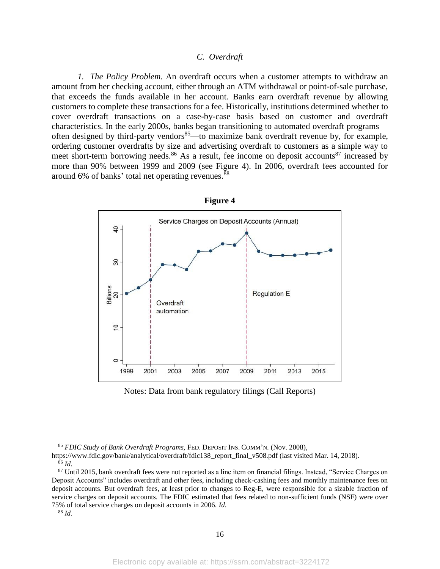## *C. Overdraft*

*1. The Policy Problem.* An overdraft occurs when a customer attempts to withdraw an amount from her checking account, either through an ATM withdrawal or point-of-sale purchase, that exceeds the funds available in her account. Banks earn overdraft revenue by allowing customers to complete these transactions for a fee. Historically, institutions determined whether to cover overdraft transactions on a case-by-case basis based on customer and overdraft characteristics. In the early 2000s, banks began transitioning to automated overdraft programs often designed by third-party vendors<sup>85</sup>—to maximize bank overdraft revenue by, for example, ordering customer overdrafts by size and advertising overdraft to customers as a simple way to meet short-term borrowing needs.<sup>86</sup> As a result, fee income on deposit accounts<sup>87</sup> increased by more than 90% between 1999 and 2009 (see Figure 4). In 2006, overdraft fees accounted for around 6% of banks' total net operating revenues. 88



**Figure 4**

Notes: Data from bank regulatory filings (Call Reports)

<sup>88</sup> *Id.*

<sup>85</sup> *FDIC Study of Bank Overdraft Programs,* FED. DEPOSIT INS. COMM'N. (Nov. 2008),

https://www.fdic.gov/bank/analytical/overdraft/fdic138\_report\_final\_v508.pdf (last visited Mar. 14, 2018). <sup>86</sup> *Id.*

<sup>87</sup> Until 2015, bank overdraft fees were not reported as a line item on financial filings. Instead, "Service Charges on Deposit Accounts" includes overdraft and other fees, including check-cashing fees and monthly maintenance fees on deposit accounts. But overdraft fees, at least prior to changes to Reg-E, were responsible for a sizable fraction of service charges on deposit accounts. The FDIC estimated that fees related to non-sufficient funds (NSF) were over 75% of total service charges on deposit accounts in 2006. *Id*.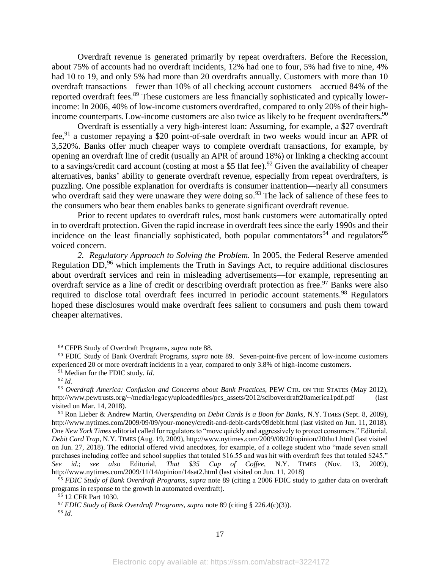Overdraft revenue is generated primarily by repeat overdrafters. Before the Recession, about 75% of accounts had no overdraft incidents, 12% had one to four, 5% had five to nine, 4% had 10 to 19, and only 5% had more than 20 overdrafts annually. Customers with more than 10 overdraft transactions—fewer than 10% of all checking account customers—accrued 84% of the reported overdraft fees.<sup>89</sup> These customers are less financially sophisticated and typically lowerincome: In 2006, 40% of low-income customers overdrafted, compared to only 20% of their highincome counterparts. Low-income customers are also twice as likely to be frequent overdrafters.<sup>90</sup>

Overdraft is essentially a very high-interest loan: Assuming, for example, a \$27 overdraft fee, <sup>91</sup> a customer repaying a \$20 point-of-sale overdraft in two weeks would incur an APR of 3,520%. Banks offer much cheaper ways to complete overdraft transactions, for example, by opening an overdraft line of credit (usually an APR of around 18%) or linking a checking account to a savings/credit card account (costing at most a \$5 flat fee).<sup>92</sup> Given the availability of cheaper alternatives, banks' ability to generate overdraft revenue, especially from repeat overdrafters, is puzzling. One possible explanation for overdrafts is consumer inattention—nearly all consumers who overdraft said they were unaware they were doing so.<sup>93</sup> The lack of salience of these fees to the consumers who bear them enables banks to generate significant overdraft revenue.

Prior to recent updates to overdraft rules, most bank customers were automatically opted in to overdraft protection. Given the rapid increase in overdraft fees since the early 1990s and their incidence on the least financially sophisticated, both popular commentators<sup>94</sup> and regulators<sup>95</sup> voiced concern.

*2. Regulatory Approach to Solving the Problem.* In 2005, the Federal Reserve amended Regulation DD,<sup>96</sup> which implements the Truth in Savings Act, to require additional disclosures about overdraft services and rein in misleading advertisements—for example, representing an overdraft service as a line of credit or describing overdraft protection as free.<sup>97</sup> Banks were also required to disclose total overdraft fees incurred in periodic account statements.<sup>98</sup> Regulators hoped these disclosures would make overdraft fees salient to consumers and push them toward cheaper alternatives.

<sup>89</sup> CFPB Study of Overdraft Programs, *supra* note 88.

<sup>90</sup> FDIC Study of Bank Overdraft Programs, *supra* note 89. Seven-point-five percent of low-income customers experienced 20 or more overdraft incidents in a year, compared to only 3.8% of high-income customers.

<sup>91</sup> Median for the FDIC study. *Id*.

<sup>92</sup> *Id.*

<sup>93</sup> *Overdraft America: Confusion and Concerns about Bank Practices,* PEW CTR. ON THE STATES (May 2012), http://www.pewtrusts.org/~/media/legacy/uploadedfiles/pcs\_assets/2012/sciboverdraft20america1pdf.pdf (last visited on Mar. 14, 2018).

<sup>94</sup> Ron Lieber & Andrew Martin, *Overspending on Debit Cards Is a Boon for Banks,* N.Y. TIMES (Sept. 8, 2009), http://www.nytimes.com/2009/09/09/your-money/credit-and-debit-cards/09debit.html (last visited on Jun. 11, 2018). One *New York Times* editorial called for regulators to "move quickly and aggressively to protect consumers." Editorial, *Debit Card Trap*, N.Y. TIMES (Aug. 19, 2009), http://www.nytimes.com/2009/08/20/opinion/20thu1.html (last visited on Jun. 27, 2018). The editorial offered vivid anecdotes, for example, of a college student who "made seven small purchases including coffee and school supplies that totaled \$16.55 and was hit with overdraft fees that totaled \$245." *See id.*; *see also* Editorial, *That \$35 Cup of Coffee,* N.Y. TIMES (Nov. 13, 2009), http://www.nytimes.com/2009/11/14/opinion/14sat2.html (last visited on Jun. 11, 2018)

<sup>95</sup> *FDIC Study of Bank Overdraft Programs*, *supra* note 89 (citing a 2006 FDIC study to gather data on overdraft programs in response to the growth in automated overdraft).

<sup>96</sup> 12 CFR Part 1030.

<sup>97</sup> *FDIC Study of Bank Overdraft Programs*, *supra* note 89 (citing § 226.4(c)(3)).

<sup>98</sup> *Id.*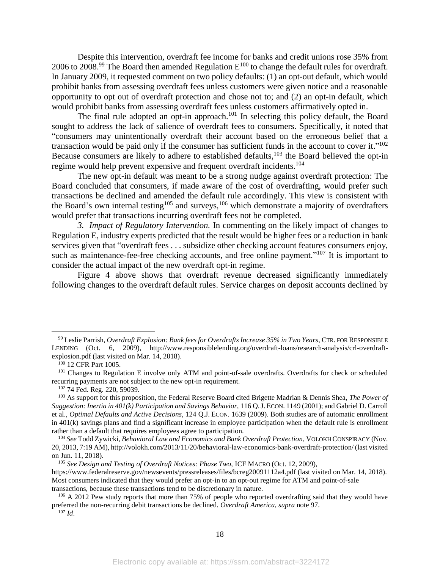Despite this intervention, overdraft fee income for banks and credit unions rose 35% from 2006 to 2008.<sup>99</sup> The Board then amended Regulation  $E^{100}$  to change the default rules for overdraft. In January 2009, it requested comment on two policy defaults: (1) an opt-out default, which would prohibit banks from assessing overdraft fees unless customers were given notice and a reasonable opportunity to opt out of overdraft protection and chose not to; and (2) an opt-in default, which would prohibit banks from assessing overdraft fees unless customers affirmatively opted in.

The final rule adopted an opt-in approach.<sup>101</sup> In selecting this policy default, the Board sought to address the lack of salience of overdraft fees to consumers. Specifically, it noted that "consumers may unintentionally overdraft their account based on the erroneous belief that a transaction would be paid only if the consumer has sufficient funds in the account to cover it."<sup>102</sup> Because consumers are likely to adhere to established defaults, <sup>103</sup> the Board believed the opt-in regime would help prevent expensive and frequent overdraft incidents.<sup>104</sup>

The new opt-in default was meant to be a strong nudge against overdraft protection: The Board concluded that consumers, if made aware of the cost of overdrafting, would prefer such transactions be declined and amended the default rule accordingly. This view is consistent with the Board's own internal testing<sup>105</sup> and surveys,<sup>106</sup> which demonstrate a majority of overdrafters would prefer that transactions incurring overdraft fees not be completed.

*3. Impact of Regulatory Intervention.* In commenting on the likely impact of changes to Regulation E, industry experts predicted that the result would be higher fees or a reduction in bank services given that "overdraft fees . . . subsidize other checking account features consumers enjoy, such as maintenance-fee-free checking accounts, and free online payment."<sup>107</sup> It is important to consider the actual impact of the new overdraft opt-in regime.

Figure 4 above shows that overdraft revenue decreased significantly immediately following changes to the overdraft default rules. Service charges on deposit accounts declined by

 $\overline{a}$ 

<sup>102</sup> 74 Fed. Reg. 220, 59039.

<sup>99</sup> Leslie Parrish, *Overdraft Explosion: Bank fees for Overdrafts Increase 35% in Two Years*, CTR. FOR RESPONSIBLE LENDING (Oct. 6, 2009), http://www.responsiblelending.org/overdraft-loans/research-analysis/crl-overdraftexplosion.pdf (last visited on Mar. 14, 2018).

<sup>100</sup> 12 CFR Part 1005.

<sup>&</sup>lt;sup>101</sup> Changes to Regulation E involve only ATM and point-of-sale overdrafts. Overdrafts for check or scheduled recurring payments are not subject to the new opt-in requirement.

<sup>103</sup> As support for this proposition, the Federal Reserve Board cited Brigette Madrian & Dennis Shea, *The Power of Suggestion: Inertia in 401(k) Participation and Savings Behavior,* 116 Q.J. ECON. 1149 (2001); and Gabriel D. Carroll et al., *Optimal Defaults and Active Decisions*, 124 Q.J. ECON. 1639 (2009). Both studies are of automatic enrollment in 401(k) savings plans and find a significant increase in employee participation when the default rule is enrollment rather than a default that requires employees agree to participation.

<sup>104</sup> *See* Todd Zywicki, *Behavioral Law and Economics and Bank Overdraft Protection*, VOLOKH CONSPIRACY (Nov. 20, 2013, 7:19 AM), http://volokh.com/2013/11/20/behavioral-law-economics-bank-overdraft-protection/ (last visited on Jun. 11, 2018).

<sup>105</sup> *See Design and Testing of Overdraft Notices: Phase Two,* ICF MACRO (Oct. 12, 2009),

https://www.federalreserve.gov/newsevents/pressreleases/files/bcreg20091112a4.pdf (last visited on Mar. 14, 2018). Most consumers indicated that they would prefer an opt-in to an opt-out regime for ATM and point-of-sale transactions, because these transactions tend to be discretionary in nature.

<sup>&</sup>lt;sup>106</sup> A 2012 Pew study reports that more than 75% of people who reported overdrafting said that they would have preferred the non-recurring debit transactions be declined. *Overdraft America*, *supra* note 97.  $107$  *Id.*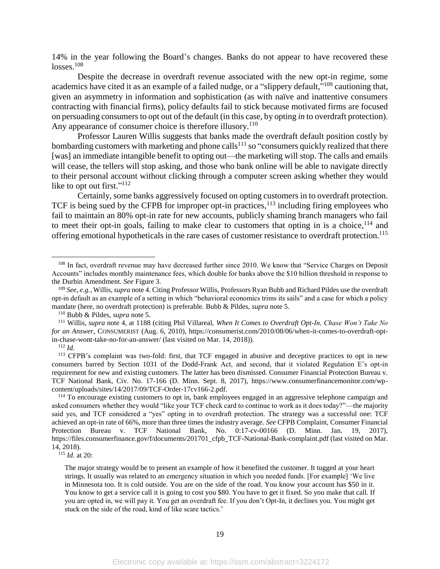14% in the year following the Board's changes. Banks do not appear to have recovered these losses. 108

Despite the decrease in overdraft revenue associated with the new opt-in regime, some academics have cited it as an example of a failed nudge, or a "slippery default,"<sup>109</sup> cautioning that, given an asymmetry in information and sophistication (as with naïve and inattentive consumers contracting with financial firms), policy defaults fail to stick because motivated firms are focused on persuading consumers to opt out of the default (in this case, by opting *in* to overdraft protection). Any appearance of consumer choice is therefore illusory.<sup>110</sup>

Professor Lauren Willis suggests that banks made the overdraft default position costly by bombarding customers with marketing and phone calls<sup>111</sup> so "consumers quickly realized that there [was] an immediate intangible benefit to opting out—the marketing will stop. The calls and emails will cease, the tellers will stop asking, and those who bank online will be able to navigate directly to their personal account without clicking through a computer screen asking whether they would like to opt out first."<sup>112</sup>

Certainly, some banks aggressively focused on opting customers in to overdraft protection. TCF is being sued by the CFPB for improper opt-in practices, $113$  including firing employees who fail to maintain an 80% opt-in rate for new accounts, publicly shaming branch managers who fail to meet their opt-in goals, failing to make clear to customers that opting in is a choice,  $114$  and offering emotional hypotheticals in the rare cases of customer resistance to overdraft protection. 115

<sup>112</sup> *Id.*

 $\overline{a}$ 

<sup>115</sup> *Id.* at 20:

<sup>&</sup>lt;sup>108</sup> In fact, overdraft revenue may have decreased further since 2010. We know that "Service Charges on Deposit Accounts" includes monthly maintenance fees, which double for banks above the \$10 billion threshold in response to the Durbin Amendment. *See* Figure 3.

<sup>109</sup> *See, e.g.*, Willis, *supra* not[e 4.](#page-3-1) Citing Professor Willis, Professors Ryan Bubb and Richard Pildes use the overdraft opt-in default as an example of a setting in which "behavioral economics trims its sails" and a case for which a policy mandate (here, no overdraft protection) is preferable. Bubb & Pildes, *supra* not[e 5.](#page-3-2)

<sup>110</sup> Bubb & Pildes, *supra* note [5.](#page-3-2)

<sup>111</sup> Willis, *supra* note [4,](#page-3-1) at 1188 (citing Phil Villareal, *When It Comes to Overdraft Opt-In, Chase Won't Take No for an Answer*, CONSUMERIST (Aug. 6, 2010), https://consumerist.com/2010/08/06/when-it-comes-to-overdraft-optin-chase-wont-take-no-for-an-answer/ (last visited on Mar. 14, 2018)).

<sup>113</sup> CFPB's complaint was two-fold: first, that TCF engaged in abusive and deceptive practices to opt in new consumers barred by Section 1031 of the Dodd-Frank Act, and second, that it violated Regulation E's opt-in requirement for new and existing customers. The latter has been dismissed. Consumer Financial Protection Bureau v. TCF National Bank, Civ. No. 17-166 (D. Minn. Sept. 8, 2017), https://www.consumerfinancemonitor.com/wpcontent/uploads/sites/14/2017/09/TCF-Order-17cv166-2.pdf.

<sup>&</sup>lt;sup>114</sup> To encourage existing customers to opt in, bank employees engaged in an aggressive telephone campaign and asked consumers whether they would "like your TCF check card to continue to work as it does today?"—the majority said yes, and TCF considered a "yes" opting in to overdraft protection. The strategy was a successful one: TCF achieved an opt-in rate of 66%, more than three times the industry average. *See* CFPB Complaint, Consumer Financial Protection Bureau v. TCF National Bank*,* No. 0:17-cv-00166 (D. Minn. Jan. 19, 2017), https://files.consumerfinance.gov/f/documents/201701\_cfpb\_TCF-National-Bank-complaint.pdf (last visited on Mar. 14, 2018).

The major strategy would be to present an example of how it benefited the customer. It tugged at your heart strings. It usually was related to an emergency situation in which you needed funds. [For example] 'We live in Minnesota too. It is cold outside. You are on the side of the road. You know your account has \$50 in it. You know to get a service call it is going to cost you \$80. You have to get it fixed. So you make that call. If you are opted in, we will pay it. You get an overdraft fee. If you don't Opt-In, it declines you. You might get stuck on the side of the road, kind of like scare tactics.'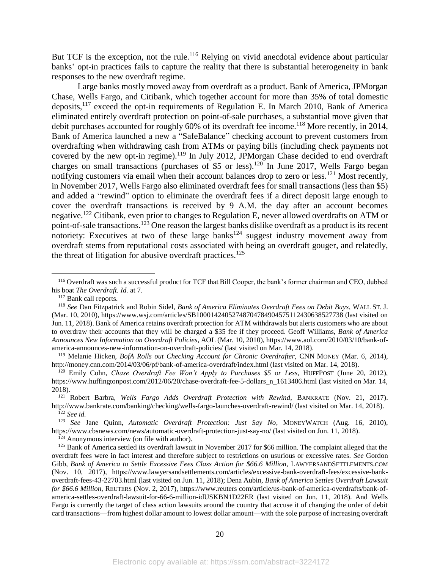But TCF is the exception, not the rule.<sup>116</sup> Relying on vivid anecdotal evidence about particular banks' opt-in practices fails to capture the reality that there is substantial heterogeneity in bank responses to the new overdraft regime.

Large banks mostly moved away from overdraft as a product. Bank of America, JPMorgan Chase, Wells Fargo, and Citibank, which together account for more than 35% of total domestic deposits,<sup>117</sup> exceed the opt-in requirements of Regulation E. In March 2010, Bank of America eliminated entirely overdraft protection on point-of-sale purchases, a substantial move given that debit purchases accounted for roughly 60% of its overdraft fee income. <sup>118</sup> More recently, in 2014, Bank of America launched a new a "SafeBalance" checking account to prevent customers from overdrafting when withdrawing cash from ATMs or paying bills (including check payments not covered by the new opt-in regime).<sup>119</sup> In July 2012, JPMorgan Chase decided to end overdraft charges on small transactions (purchases of \$5 or less).<sup>120</sup> In June 2017, Wells Fargo began notifying customers via email when their account balances drop to zero or less.<sup>121</sup> Most recently, in November 2017, Wells Fargo also eliminated overdraft fees for small transactions (less than \$5) and added a "rewind" option to eliminate the overdraft fees if a direct deposit large enough to cover the overdraft transactions is received by 9 A.M. the day after an account becomes negative.<sup>122</sup> Citibank, even prior to changes to Regulation E, never allowed overdrafts on ATM or point-of-sale transactions.<sup>123</sup> One reason the largest banks dislike overdraft as a product is its recent notoriety: Executives at two of these large banks<sup>124</sup> suggest industry movement away from overdraft stems from reputational costs associated with being an overdraft gouger, and relatedly, the threat of litigation for abusive overdraft practices.<sup>125</sup>

<sup>116</sup> Overdraft was such a successful product for TCF that Bill Cooper, the bank's former chairman and CEO, dubbed his boat *The Overdraft. Id.* at 7.

<span id="page-20-0"></span><sup>117</sup> Bank call reports.

<sup>118</sup> *See* Dan Fitzpatrick and Robin Sidel, *Bank of America Eliminates Overdraft Fees on Debit Buys*, WALL ST. J. (Mar. 10, 2010), https://www.wsj.com/articles/SB10001424052748704784904575112430638527738 (last visited on Jun. 11, 2018). Bank of America retains overdraft protection for ATM withdrawals but alerts customers who are about to overdraw their accounts that they will be charged a \$35 fee if they proceed. Geoff Williams, *Bank of America Announces New Information on Overdraft Policies*, AOL (Mar. 10, 2010), https://www.aol.com/2010/03/10/bank-ofamerica-announces-new-information-on-overdraft-policies/ (last visited on Mar. 14, 2018).

<sup>119</sup> Melanie Hicken, *BofA Rolls out Checking Account for Chronic Overdrafter,* CNN MONEY (Mar. 6, 2014), http://money.cnn.com/2014/03/06/pf/bank-of-america-overdraft/index.html (last visited on Mar. 14, 2018).

<sup>120</sup> Emily Cohn, *Chase Overdraft Fee Won't Apply to Purchases \$5 or Less,* HUFFPOST (June 20, 2012), https://www.huffingtonpost.com/2012/06/20/chase-overdraft-fee-5-dollars\_n\_1613406.html (last visited on Mar. 14, 2018).

<sup>121</sup> Robert Barbra, *Wells Fargo Adds Overdraft Protection with Rewind,* BANKRATE (Nov. 21, 2017). http://www.bankrate.com/banking/checking/wells-fargo-launches-overdraft-rewind/ (last visited on Mar. 14, 2018). <sup>122</sup> *See id.*

<sup>123</sup> *See* Jane Quinn, *Automatic Overdraft Protection: Just Say No*, MONEYWATCH (Aug. 16, 2010), https://www.cbsnews.com/news/automatic-overdraft-protection-just-say-no/ (last visited on Jun. 11, 2018).

 $^{124}$  Anonymous interview (on file with author).

<sup>&</sup>lt;sup>125</sup> Bank of America settled its overdraft lawsuit in November 2017 for \$66 million. The complaint alleged that the overdraft fees were in fact interest and therefore subject to restrictions on usurious or excessive rates. *See* Gordon Gibb, *Bank of America to Settle Excessive Fees Class Action for \$66.6 Million,* LAWYERSANDSETTLEMENTS.COM (Nov. 10, 2017), https://www.lawyersandsettlements.com/articles/excessive-bank-overdraft-fees/excessive-bankoverdraft-fees-43-22703.html (last visited on Jun. 11, 2018); Dena Aubin, *Bank of America Settles Overdraft Lawsuit for \$66.6 Million,* REUTERS (Nov. 2, 2017), https://www.reuters com/article/us-bank-of-america-overdrafts/bank-ofamerica-settles-overdraft-lawsuit-for-66-6-million-idUSKBN1D22ER (last visited on Jun. 11, 2018). And Wells Fargo is currently the target of class action lawsuits around the country that accuse it of changing the order of debit card transactions—from highest dollar amount to lowest dollar amount—with the sole purpose of increasing overdraft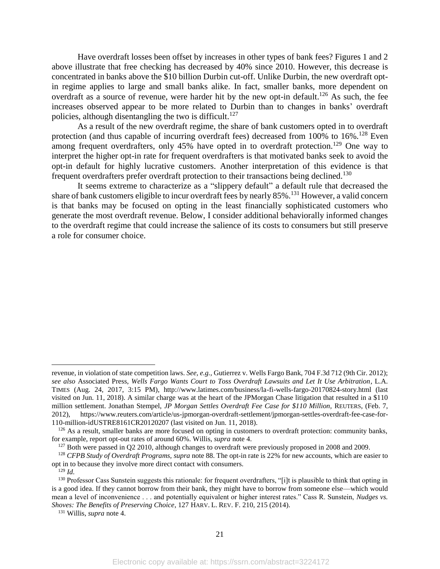Have overdraft losses been offset by increases in other types of bank fees? Figures 1 and 2 above illustrate that free checking has decreased by 40% since 2010. However, this decrease is concentrated in banks above the \$10 billion Durbin cut-off. Unlike Durbin, the new overdraft optin regime applies to large and small banks alike. In fact, smaller banks, more dependent on overdraft as a source of revenue, were harder hit by the new opt-in default.<sup>126</sup> As such, the fee increases observed appear to be more related to Durbin than to changes in banks' overdraft policies, although disentangling the two is difficult.<sup>127</sup>

As a result of the new overdraft regime, the share of bank customers opted in to overdraft protection (and thus capable of incurring overdraft fees) decreased from 100% to 16%.<sup>128</sup> Even among frequent overdrafters, only  $45\%$  have opted in to overdraft protection.<sup>129</sup> One way to interpret the higher opt-in rate for frequent overdrafters is that motivated banks seek to avoid the opt-in default for highly lucrative customers. Another interpretation of this evidence is that frequent overdrafters prefer overdraft protection to their transactions being declined.<sup>130</sup>

It seems extreme to characterize as a "slippery default" a default rule that decreased the share of bank customers eligible to incur overdraft fees by nearly 85%.<sup>131</sup> However, a valid concern is that banks may be focused on opting in the least financially sophisticated customers who generate the most overdraft revenue. Below, I consider additional behaviorally informed changes to the overdraft regime that could increase the salience of its costs to consumers but still preserve a role for consumer choice.

revenue, in violation of state competition laws. *See, e.g.,* Gutierrez v. Wells Fargo Bank, 704 F.3d 712 (9th Cir. 2012); *see also* Associated Press, *Wells Fargo Wants Court to Toss Overdraft Lawsuits and Let It Use Arbitration*, L.A. TIMES (Aug. 24, 2017, 3:15 PM), http://www.latimes.com/business/la-fi-wells-fargo-20170824-story.html (last visited on Jun. 11, 2018). A similar charge was at the heart of the JPMorgan Chase litigation that resulted in a \$110 million settlement. Jonathan Stempel, *JP Morgan Settles Overdraft Fee Case for \$110 Million,* REUTERS, (Feb. 7, 2012), https://www.reuters.com/article/us-jpmorgan-overdraft-settlement/jpmorgan-settles-overdraft-fee-case-for-110-million-idUSTRE8161CR20120207 (last visited on Jun. 11, 2018).

 $126$  As a result, smaller banks are more focused on opting in customers to overdraft protection: community banks, for example, report opt-out rates of around 60%. Willis, *supra* note [4.](#page-3-1)

<sup>&</sup>lt;sup>127</sup> Both were passed in Q2 2010, although changes to overdraft were previously proposed in 2008 and 2009.

<sup>128</sup> *CFPB Study of Overdraft Programs, supra* note 88. The opt-in rate is 22% for new accounts, which are easier to opt in to because they involve more direct contact with consumers.

<sup>129</sup> *Id.*

<sup>&</sup>lt;sup>130</sup> Professor Cass Sunstein suggests this rationale: for frequent overdrafters, "[i]t is plausible to think that opting in is a good idea. If they cannot borrow from their bank, they might have to borrow from someone else—which would mean a level of inconvenience . . . and potentially equivalent or higher interest rates." Cass R. Sunstein, *Nudges vs. Shoves: The Benefits of Preserving Choice*, 127 HARV. L. REV. F. 210, 215 (2014).

<sup>131</sup> Willis, *supra* not[e 4.](#page-3-1)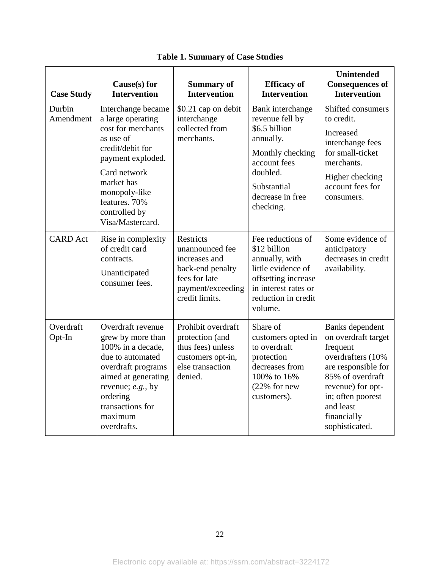| <b>Case Study</b>   | Cause $(s)$ for<br><b>Intervention</b>                                                                                                                                                                                   | <b>Summary of</b><br><b>Intervention</b>                                                                                         | <b>Efficacy</b> of<br><b>Intervention</b>                                                                                                                         | <b>Unintended</b><br><b>Consequences of</b><br><b>Intervention</b>                                                                                                                                         |
|---------------------|--------------------------------------------------------------------------------------------------------------------------------------------------------------------------------------------------------------------------|----------------------------------------------------------------------------------------------------------------------------------|-------------------------------------------------------------------------------------------------------------------------------------------------------------------|------------------------------------------------------------------------------------------------------------------------------------------------------------------------------------------------------------|
| Durbin<br>Amendment | Interchange became<br>a large operating<br>cost for merchants<br>as use of<br>credit/debit for<br>payment exploded.<br>Card network<br>market has<br>monopoly-like<br>features. 70%<br>controlled by<br>Visa/Mastercard. | \$0.21 cap on debit<br>interchange<br>collected from<br>merchants.                                                               | Bank interchange<br>revenue fell by<br>\$6.5 billion<br>annually.<br>Monthly checking<br>account fees<br>doubled.<br>Substantial<br>decrease in free<br>checking. | Shifted consumers<br>to credit.<br><b>Increased</b><br>interchange fees<br>for small-ticket<br>merchants.<br>Higher checking<br>account fees for<br>consumers.                                             |
| <b>CARD</b> Act     | Rise in complexity<br>of credit card<br>contracts.<br>Unanticipated<br>consumer fees.                                                                                                                                    | <b>Restricts</b><br>unannounced fee<br>increases and<br>back-end penalty<br>fees for late<br>payment/exceeding<br>credit limits. | Fee reductions of<br>\$12 billion<br>annually, with<br>little evidence of<br>offsetting increase<br>in interest rates or<br>reduction in credit<br>volume.        | Some evidence of<br>anticipatory<br>decreases in credit<br>availability.                                                                                                                                   |
| Overdraft<br>Opt-In | Overdraft revenue<br>grew by more than<br>100% in a decade,<br>due to automated<br>overdraft programs<br>aimed at generating<br>revenue; e.g., by<br>ordering<br>transactions for<br>maximum<br>overdrafts.              | Prohibit overdraft<br>protection (and<br>thus fees) unless<br>customers opt-in,<br>else transaction<br>denied.                   | Share of<br>customers opted in<br>to overdraft<br>protection<br>decreases from<br>100% to 16%<br>$(22%$ for new<br>customers).                                    | Banks dependent<br>on overdraft target<br>frequent<br>overdrafters (10%<br>are responsible for<br>85% of overdraft<br>revenue) for opt-<br>in; often poorest<br>and least<br>financially<br>sophisticated. |

**Table 1. Summary of Case Studies**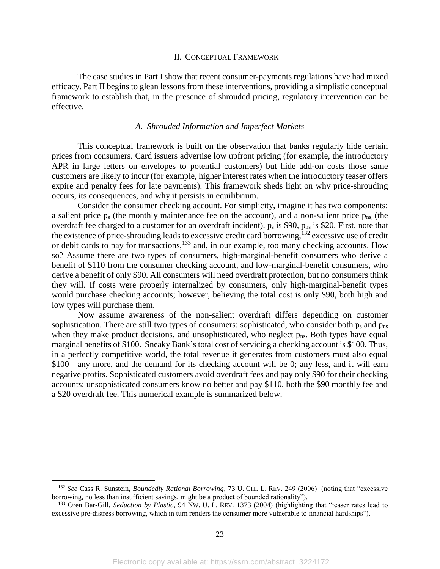#### II. CONCEPTUAL FRAMEWORK

The case studies in Part I show that recent consumer-payments regulations have had mixed efficacy. Part II begins to glean lessons from these interventions, providing a simplistic conceptual framework to establish that, in the presence of shrouded pricing, regulatory intervention can be effective.

# *A. Shrouded Information and Imperfect Markets*

This conceptual framework is built on the observation that banks regularly hide certain prices from consumers. Card issuers advertise low upfront pricing (for example, the introductory APR in large letters on envelopes to potential customers) but hide add-on costs those same customers are likely to incur (for example, higher interest rates when the introductory teaser offers expire and penalty fees for late payments). This framework sheds light on why price-shrouding occurs, its consequences, and why it persists in equilibrium.

Consider the consumer checking account. For simplicity, imagine it has two components: a salient price  $p_s$  (the monthly maintenance fee on the account), and a non-salient price  $p_{ns}$  (the overdraft fee charged to a customer for an overdraft incident).  $p_s$  is \$90,  $p_{ns}$  is \$20. First, note that the existence of price-shrouding leads to excessive credit card borrowing,<sup>132</sup> excessive use of credit or debit cards to pay for transactions,<sup>133</sup> and, in our example, too many checking accounts. How so? Assume there are two types of consumers, high-marginal-benefit consumers who derive a benefit of \$110 from the consumer checking account, and low-marginal-benefit consumers, who derive a benefit of only \$90. All consumers will need overdraft protection, but no consumers think they will. If costs were properly internalized by consumers, only high-marginal-benefit types would purchase checking accounts; however, believing the total cost is only \$90, both high and low types will purchase them.

Now assume awareness of the non-salient overdraft differs depending on customer sophistication. There are still two types of consumers: sophisticated, who consider both  $p_s$  and  $p_{ns}$ when they make product decisions, and unsophisticated, who neglect  $p_{ns}$ . Both types have equal marginal benefits of \$100. Sneaky Bank's total cost of servicing a checking account is \$100. Thus, in a perfectly competitive world, the total revenue it generates from customers must also equal \$100—any more, and the demand for its checking account will be 0; any less, and it will earn negative profits. Sophisticated customers avoid overdraft fees and pay only \$90 for their checking accounts; unsophisticated consumers know no better and pay \$110, both the \$90 monthly fee and a \$20 overdraft fee. This numerical example is summarized below.

<sup>132</sup> *See* Cass R. Sunstein, *Boundedly Rational Borrowing*, 73 U. CHI. L. REV. 249 (2006) (noting that "excessive borrowing, no less than insufficient savings, might be a product of bounded rationality").

<sup>133</sup> Oren Bar-Gill, *Seduction by Plastic*, 94 NW. U. L. REV. 1373 (2004) (highlighting that "teaser rates lead to excessive pre-distress borrowing, which in turn renders the consumer more vulnerable to financial hardships").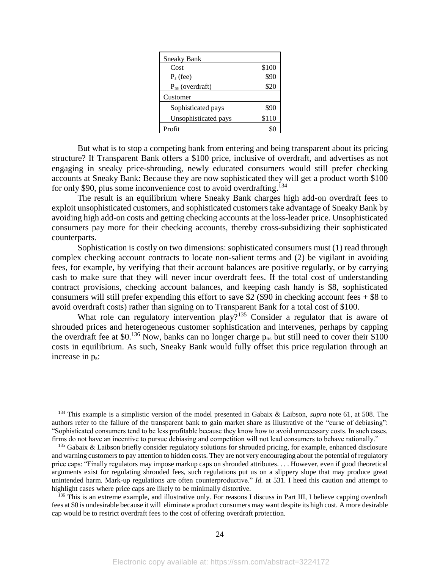| <b>Sneaky Bank</b>   |       |
|----------------------|-------|
| Cost                 | \$100 |
| $P_s$ (fee)          | \$90  |
| $P_{ns}$ (overdraft) | \$20  |
| Customer             |       |
| Sophisticated pays   | \$90  |
| Unsophisticated pays | \$110 |
| Profit               |       |

But what is to stop a competing bank from entering and being transparent about its pricing structure? If Transparent Bank offers a \$100 price, inclusive of overdraft, and advertises as not engaging in sneaky price-shrouding, newly educated consumers would still prefer checking accounts at Sneaky Bank: Because they are now sophisticated they will get a product worth \$100 for only \$90, plus some inconvenience cost to avoid overdrafting.<sup>134</sup>

The result is an equilibrium where Sneaky Bank charges high add-on overdraft fees to exploit unsophisticated customers, and sophisticated customers take advantage of Sneaky Bank by avoiding high add-on costs and getting checking accounts at the loss-leader price. Unsophisticated consumers pay more for their checking accounts, thereby cross-subsidizing their sophisticated counterparts.

Sophistication is costly on two dimensions: sophisticated consumers must (1) read through complex checking account contracts to locate non-salient terms and (2) be vigilant in avoiding fees, for example, by verifying that their account balances are positive regularly, or by carrying cash to make sure that they will never incur overdraft fees. If the total cost of understanding contract provisions, checking account balances, and keeping cash handy is \$8, sophisticated consumers will still prefer expending this effort to save \$2 (\$90 in checking account fees  $+$  \$8 to avoid overdraft costs) rather than signing on to Transparent Bank for a total cost of \$100.

What role can regulatory intervention play?<sup>135</sup> Consider a regulator that is aware of shrouded prices and heterogeneous customer sophistication and intervenes, perhaps by capping the overdraft fee at \$0.<sup>136</sup> Now, banks can no longer charge  $p_{ns}$  but still need to cover their \$100 costs in equilibrium. As such, Sneaky Bank would fully offset this price regulation through an increase in ps:

<sup>134</sup> This example is a simplistic version of the model presented in Gabaix & Laibson, *supra* note [61,](#page-13-1) at 508. The authors refer to the failure of the transparent bank to gain market share as illustrative of the "curse of debiasing": "Sophisticated consumers tend to be less profitable because they know how to avoid unnecessary costs. In such cases, firms do not have an incentive to pursue debiasing and competition will not lead consumers to behave rationally."

 $135$  Gabaix & Laibson briefly consider regulatory solutions for shrouded pricing, for example, enhanced disclosure and warning customers to pay attention to hidden costs. They are not very encouraging about the potential of regulatory price caps: "Finally regulators may impose markup caps on shrouded attributes. . . . However, even if good theoretical arguments exist for regulating shrouded fees, such regulations put us on a slippery slope that may produce great unintended harm. Mark-up regulations are often counterproductive." *Id.* at 531. I heed this caution and attempt to highlight cases where price caps are likely to be minimally distortive.

<sup>&</sup>lt;sup>136</sup> This is an extreme example, and illustrative only. For reasons I discuss in Part III, I believe capping overdraft fees at \$0 is undesirable because it will eliminate a product consumers may want despite its high cost. A more desirable cap would be to restrict overdraft fees to the cost of offering overdraft protection.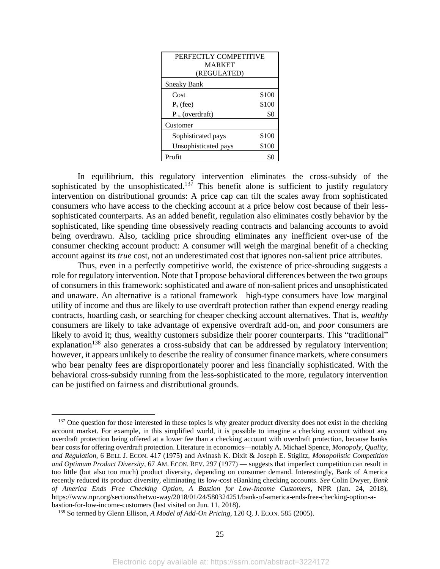| PERFECTLY COMPETITIVE |       |  |  |  |
|-----------------------|-------|--|--|--|
| <b>MARKET</b>         |       |  |  |  |
| (REGULATED)           |       |  |  |  |
| <b>Sneaky Bank</b>    |       |  |  |  |
| Cost                  | \$100 |  |  |  |
| $P_s$ (fee)           | \$100 |  |  |  |
| $P_{ns}$ (overdraft)  | \$0   |  |  |  |
| Customer              |       |  |  |  |
| Sophisticated pays    | \$100 |  |  |  |
| Unsophisticated pays  | \$100 |  |  |  |
| Profit                |       |  |  |  |

In equilibrium, this regulatory intervention eliminates the cross-subsidy of the sophisticated by the unsophisticated.<sup>137</sup> This benefit alone is sufficient to justify regulatory intervention on distributional grounds: A price cap can tilt the scales away from sophisticated consumers who have access to the checking account at a price below cost because of their lesssophisticated counterparts. As an added benefit, regulation also eliminates costly behavior by the sophisticated, like spending time obsessively reading contracts and balancing accounts to avoid being overdrawn. Also, tackling price shrouding eliminates any inefficient over-use of the consumer checking account product: A consumer will weigh the marginal benefit of a checking account against its *true* cost, not an underestimated cost that ignores non-salient price attributes.

Thus, even in a perfectly competitive world, the existence of price-shrouding suggests a role for regulatory intervention. Note that I propose behavioral differences between the two groups of consumers in this framework: sophisticated and aware of non-salient prices and unsophisticated and unaware. An alternative is a rational framework—high-type consumers have low marginal utility of income and thus are likely to use overdraft protection rather than expend energy reading contracts, hoarding cash, or searching for cheaper checking account alternatives. That is, *wealthy*  consumers are likely to take advantage of expensive overdraft add-on, and *poor* consumers are likely to avoid it; thus, wealthy customers subsidize their poorer counterparts. This "traditional" explanation<sup>138</sup> also generates a cross-subsidy that can be addressed by regulatory intervention; however, it appears unlikely to describe the reality of consumer finance markets, where consumers who bear penalty fees are disproportionately poorer and less financially sophisticated. With the behavioral cross-subsidy running from the less-sophisticated to the more, regulatory intervention can be justified on fairness and distributional grounds.

 $137$  One question for those interested in these topics is why greater product diversity does not exist in the checking account market. For example, in this simplified world, it is possible to imagine a checking account without any overdraft protection being offered at a lower fee than a checking account with overdraft protection, because banks bear costs for offering overdraft protection. Literature in economics—notably A. Michael Spence, *Monopoly, Quality, and Regulation*, 6 BELL J. ECON. 417 (1975) and Avinash K. Dixit & Joseph E. Stiglitz, *Monopolistic Competition and Optimum Product Diversity*, 67 AM. ECON. REV. 297 (1977) — suggests that imperfect competition can result in too little (but also too much) product diversity, depending on consumer demand. Interestingly, Bank of America recently reduced its product diversity, eliminating its low-cost eBanking checking accounts. *See* Colin Dwyer, *Bank of America Ends Free Checking Option, A Bastion for Low-Income Customers*, NPR (Jan. 24, 2018), https://www.npr.org/sections/thetwo-way/2018/01/24/580324251/bank-of-america-ends-free-checking-option-abastion-for-low-income-customers (last visited on Jun. 11, 2018).

<sup>138</sup> So termed by Glenn Ellison, *A Model of Add-On Pricing*, 120 Q. J. ECON. 585 (2005).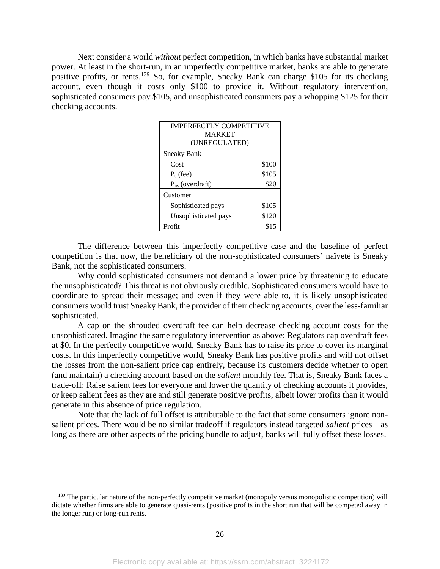Next consider a world *without* perfect competition, in which banks have substantial market power. At least in the short-run, in an imperfectly competitive market, banks are able to generate positive profits, or rents.<sup>139</sup> So, for example, Sneaky Bank can charge \$105 for its checking account, even though it costs only \$100 to provide it. Without regulatory intervention, sophisticated consumers pay \$105, and unsophisticated consumers pay a whopping \$125 for their checking accounts.

| <b>IMPERFECTLY COMPETITIVE</b> |       |  |  |  |
|--------------------------------|-------|--|--|--|
| <b>MARKET</b>                  |       |  |  |  |
| (UNREGULATED)                  |       |  |  |  |
| <b>Sneaky Bank</b>             |       |  |  |  |
| Cost                           | \$100 |  |  |  |
| $P_s$ (fee)                    | \$105 |  |  |  |
| $P_{ns}$ (overdraft)           | \$20  |  |  |  |
| Customer                       |       |  |  |  |
| Sophisticated pays             | \$105 |  |  |  |
| Unsophisticated pays           | \$120 |  |  |  |
| Profit                         | \$15  |  |  |  |

The difference between this imperfectly competitive case and the baseline of perfect competition is that now, the beneficiary of the non-sophisticated consumers' naïveté is Sneaky Bank, not the sophisticated consumers.

Why could sophisticated consumers not demand a lower price by threatening to educate the unsophisticated? This threat is not obviously credible. Sophisticated consumers would have to coordinate to spread their message; and even if they were able to, it is likely unsophisticated consumers would trust Sneaky Bank, the provider of their checking accounts, over the less-familiar sophisticated.

A cap on the shrouded overdraft fee can help decrease checking account costs for the unsophisticated. Imagine the same regulatory intervention as above: Regulators cap overdraft fees at \$0. In the perfectly competitive world, Sneaky Bank has to raise its price to cover its marginal costs. In this imperfectly competitive world, Sneaky Bank has positive profits and will not offset the losses from the non-salient price cap entirely, because its customers decide whether to open (and maintain) a checking account based on the *salient* monthly fee. That is, Sneaky Bank faces a trade-off: Raise salient fees for everyone and lower the quantity of checking accounts it provides, or keep salient fees as they are and still generate positive profits, albeit lower profits than it would generate in this absence of price regulation.

Note that the lack of full offset is attributable to the fact that some consumers ignore nonsalient prices. There would be no similar tradeoff if regulators instead targeted *salient* prices—as long as there are other aspects of the pricing bundle to adjust, banks will fully offset these losses.

<sup>&</sup>lt;sup>139</sup> The particular nature of the non-perfectly competitive market (monopoly versus monopolistic competition) will dictate whether firms are able to generate quasi-rents (positive profits in the short run that will be competed away in the longer run) or long-run rents.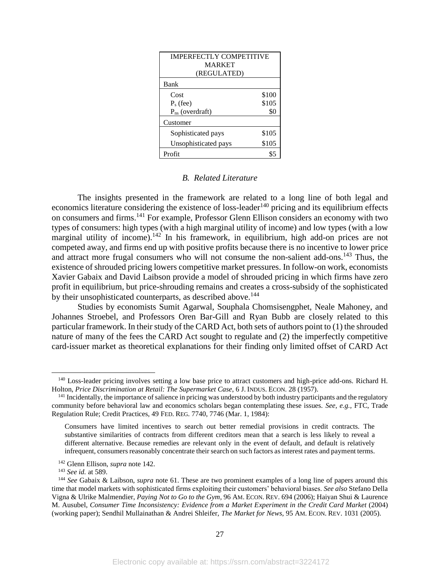| <b>IMPERFECTLY COMPETITIVE</b> |       |  |  |  |
|--------------------------------|-------|--|--|--|
| <b>MARKET</b>                  |       |  |  |  |
| (REGULATED)                    |       |  |  |  |
| Bank                           |       |  |  |  |
| Cost                           | \$100 |  |  |  |
| $P_s$ (fee)                    | \$105 |  |  |  |
| $P_{ns}$ (overdraft)           | \$0   |  |  |  |
| Customer                       |       |  |  |  |
| Sophisticated pays             | \$105 |  |  |  |
| Unsophisticated pays           | \$105 |  |  |  |
| Profit                         |       |  |  |  |

# *B. Related Literature*

The insights presented in the framework are related to a long line of both legal and economics literature considering the existence of loss-leader<sup>140</sup> pricing and its equilibrium effects on consumers and firms.<sup>141</sup> For example, Professor Glenn Ellison considers an economy with two types of consumers: high types (with a high marginal utility of income) and low types (with a low marginal utility of income).<sup>142</sup> In his framework, in equilibrium, high add-on prices are not competed away, and firms end up with positive profits because there is no incentive to lower price and attract more frugal consumers who will not consume the non-salient add-ons.<sup>143</sup> Thus, the existence of shrouded pricing lowers competitive market pressures. In follow-on work, economists Xavier Gabaix and David Laibson provide a model of shrouded pricing in which firms have zero profit in equilibrium, but price-shrouding remains and creates a cross-subsidy of the sophisticated by their unsophisticated counterparts, as described above.<sup>144</sup>

Studies by economists Sumit Agarwal, Souphala Chomsisengphet, Neale Mahoney, and Johannes Stroebel, and Professors Oren Bar-Gill and Ryan Bubb are closely related to this particular framework. In their study of the CARD Act, both sets of authors point to (1) the shrouded nature of many of the fees the CARD Act sought to regulate and (2) the imperfectly competitive card-issuer market as theoretical explanations for their finding only limited offset of CARD Act

<sup>&</sup>lt;sup>140</sup> Loss-leader pricing involves setting a low base price to attract customers and high-price add-ons. Richard H. Holton, *Price Discrimination at Retail: The Supermarket Case*, 6 J. INDUS. ECON. 28 (1957).

 $141$  Incidentally, the importance of salience in pricing was understood by both industry participants and the regulatory community before behavioral law and economics scholars began contemplating these issues. *See, e.g.,* FTC, Trade Regulation Rule; Credit Practices, 49 FED. REG. 7740, 7746 (Mar. 1, 1984):

Consumers have limited incentives to search out better remedial provisions in credit contracts. The substantive similarities of contracts from different creditors mean that a search is less likely to reveal a different alternative. Because remedies are relevant only in the event of default, and default is relatively infrequent, consumers reasonably concentrate their search on such factors as interest rates and payment terms.

<sup>142</sup> Glenn Ellison, *supra* note 142.

<sup>143</sup> *See id.* at 589.

<sup>144</sup> *See* Gabaix & Laibson, *supra* note [61.](#page-13-1) These are two prominent examples of a long line of papers around this time that model markets with sophisticated firms exploiting their customers' behavioral biases. *See also* Stefano Della Vigna & Ulrike Malmendier, *Paying Not to Go to the Gym*, 96 AM. ECON. REV. 694 (2006); Haiyan Shui & Laurence M. Ausubel, *Consumer Time Inconsistency: Evidence from a Market Experiment in the Credit Card Market* (2004) (working paper); Sendhil Mullainathan & Andrei Shleifer, *The Market for News*, 95 AM. ECON. REV. 1031 (2005).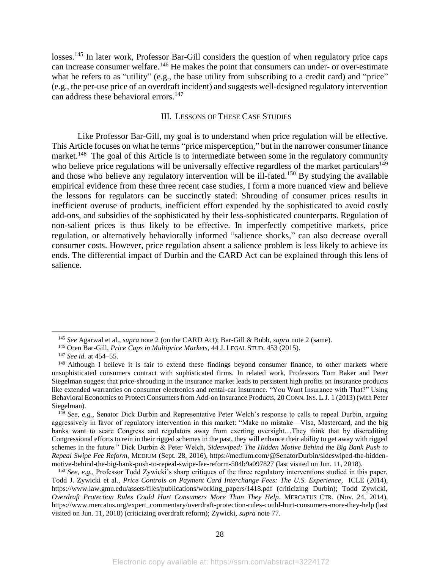losses.<sup>145</sup> In later work, Professor Bar-Gill considers the question of when regulatory price caps can increase consumer welfare.<sup>146</sup> He makes the point that consumers can under- or over-estimate what he refers to as "utility" (e.g., the base utility from subscribing to a credit card) and "price" (e.g., the per-use price of an overdraft incident) and suggests well-designed regulatory intervention can address these behavioral errors. 147

# III. LESSONS OF THESE CASE STUDIES

Like Professor Bar-Gill, my goal is to understand when price regulation will be effective. This Article focuses on what he terms "price misperception," but in the narrower consumer finance market.<sup>148</sup> The goal of this Article is to intermediate between some in the regulatory community who believe price regulations will be universally effective regardless of the market particulars<sup>149</sup> and those who believe any regulatory intervention will be ill-fated.<sup>150</sup> By studying the available empirical evidence from these three recent case studies, I form a more nuanced view and believe the lessons for regulators can be succinctly stated: Shrouding of consumer prices results in inefficient overuse of products, inefficient effort expended by the sophisticated to avoid costly add-ons, and subsidies of the sophisticated by their less-sophisticated counterparts. Regulation of non-salient prices is thus likely to be effective. In imperfectly competitive markets, price regulation, or alternatively behaviorally informed "salience shocks," can also decrease overall consumer costs. However, price regulation absent a salience problem is less likely to achieve its ends. The differential impact of Durbin and the CARD Act can be explained through this lens of salience.

<sup>145</sup> *See* Agarwal et al., *supra* note [2](#page-3-0) (on the CARD Act); Bar-Gill & Bubb, *supra* note [2](#page-3-0) (same).

<sup>146</sup> Oren Bar-Gill, *Price Caps in Multiprice Markets*, 44 J. LEGAL STUD. 453 (2015).

<sup>147</sup> *See id.* at 454–55.

<sup>&</sup>lt;sup>148</sup> Although I believe it is fair to extend these findings beyond consumer finance, to other markets where unsophisticated consumers contract with sophisticated firms. In related work, Professors Tom Baker and Peter Siegelman suggest that price-shrouding in the insurance market leads to persistent high profits on insurance products like extended warranties on consumer electronics and rental-car insurance. ["You Want Insurance with That?" Using](http://ssrn.com/abstract=2199569)  [Behavioral Economics to Protect Consumers from Add-on Insurance Products, 20](http://ssrn.com/abstract=2199569) CONN. INS. L.J. 1 (2013) (with Peter [Siegelman\).](http://ssrn.com/abstract=2199569)

<sup>149</sup> *See, e.g.,* Senator Dick Durbin and Representative Peter Welch's response to calls to repeal Durbin, arguing aggressively in favor of regulatory intervention in this market: "Make no mistake—Visa, Mastercard, and the big banks want to scare Congress and regulators away from exerting oversight…They think that by discrediting Congressional efforts to rein in their rigged schemes in the past, they will enhance their ability to get away with rigged schemes in the future." Dick Durbin & Peter Welch, *Sideswiped: The Hidden Motive Behind the Big Bank Push to Repeal Swipe Fee Reform*, MEDIUM (Sept. 28, 2016), https://medium.com/@SenatorDurbin/sideswiped-the-hiddenmotive-behind-the-big-bank-push-to-repeal-swipe-fee-reform-504b9a097827 (last visited on Jun. 11, 2018).

<sup>&</sup>lt;sup>150</sup> *See, e.g.,* Professor Todd Zywicki's sharp critiques of the three regulatory interventions studied in this paper, Todd J. Zywicki et al., *Price Controls on Payment Card Interchange Fees: The U.S. Experience*, ICLE (2014), https://www.law.gmu.edu/assets/files/publications/working\_papers/1418.pdf (criticizing Durbin); Todd Zywicki, *Overdraft Protection Rules Could Hurt Consumers More Than They Help*, MERCATUS CTR. (Nov. 24, 2014), https://www.mercatus.org/expert\_commentary/overdraft-protection-rules-could-hurt-consumers-more-they-help (last visited on Jun. 11, 2018) (criticizing overdraft reform); Zywicki, *supra* note [77.](#page-15-0)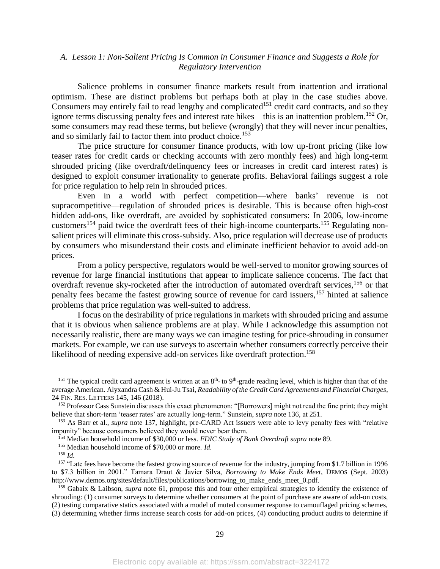# *A. Lesson 1: Non-Salient Pricing Is Common in Consumer Finance and Suggests a Role for Regulatory Intervention*

Salience problems in consumer finance markets result from inattention and irrational optimism. These are distinct problems but perhaps both at play in the case studies above. Consumers may entirely fail to read lengthy and complicated<sup>151</sup> credit card contracts, and so they ignore terms discussing penalty fees and interest rate hikes—this is an inattention problem.<sup>152</sup> Or, some consumers may read these terms, but believe (wrongly) that they will never incur penalties, and so similarly fail to factor them into product choice.<sup>153</sup>

The price structure for consumer finance products, with low up-front pricing (like low teaser rates for credit cards or checking accounts with zero monthly fees) and high long-term shrouded pricing (like overdraft/delinquency fees or increases in credit card interest rates) is designed to exploit consumer irrationality to generate profits. Behavioral failings suggest a role for price regulation to help rein in shrouded prices.

Even in a world with perfect competition—where banks' revenue is not supracompetitive—regulation of shrouded prices is desirable. This is because often high-cost hidden add-ons, like overdraft, are avoided by sophisticated consumers: In 2006, low-income customers<sup>154</sup> paid twice the overdraft fees of their high-income counterparts.<sup>155</sup> Regulating nonsalient prices will eliminate this cross-subsidy. Also, price regulation will decrease use of products by consumers who misunderstand their costs and eliminate inefficient behavior to avoid add-on prices.

From a policy perspective, regulators would be well-served to monitor growing sources of revenue for large financial institutions that appear to implicate salience concerns. The fact that overdraft revenue sky-rocketed after the introduction of automated overdraft services,<sup>156</sup> or that penalty fees became the fastest growing source of revenue for card issuers,<sup>157</sup> hinted at salience problems that price regulation was well-suited to address.

I focus on the desirability of price regulations in markets with shrouded pricing and assume that it is obvious when salience problems are at play. While I acknowledge this assumption not necessarily realistic, there are many ways we can imagine testing for price-shrouding in consumer markets. For example, we can use surveys to ascertain whether consumers correctly perceive their likelihood of needing expensive add-on services like overdraft protection.<sup>158</sup>

<sup>&</sup>lt;sup>151</sup> The typical credit card agreement is written at an  $8<sup>th</sup>$ - to  $9<sup>th</sup>$ -grade reading level, which is higher than that of the average American. Alyxandra Cash & Hui-Ju Tsai, *Readability of the Credit Card Agreements and Financial Charges*, 24 FIN. RES. LETTERS 145, 146 (2018).

<sup>152</sup> Professor Cass Sunstein discusses this exact phenomenon: "[Borrowers] might not read the fine print; they might believe that short-term 'teaser rates' are actually long-term." Sunstein, *supra* note 136, at 251.

<sup>153</sup> As Barr et al., *supra* note 137, highlight, pre-CARD Act issuers were able to levy penalty fees with "relative impunity" because consumers believed they would never bear them.

<sup>154</sup> Median household income of \$30,000 or less. *FDIC Study of Bank Overdraft supra* note 89.

<sup>155</sup> Median household income of \$70,000 or more. *Id.*

<sup>156</sup> *Id.*

<sup>&</sup>lt;sup>157</sup> "Late fees have become the fastest growing source of revenue for the industry, jumping from \$1.7 billion in 1996 to \$7.3 billion in 2001." Tamara Draut & Javier Silva, *Borrowing to Make Ends Meet*, DEMOS (Sept. 2003) http://www.demos.org/sites/default/files/publications/borrowing\_to\_make\_ends\_meet\_0.pdf.

<sup>158</sup> Gabaix & Laibson, *supra* note [61,](#page-13-1) propose this and four other empirical strategies to identify the existence of shrouding: (1) consumer surveys to determine whether consumers at the point of purchase are aware of add-on costs, (2) testing comparative statics associated with a model of muted consumer response to camouflaged pricing schemes, (3) determining whether firms increase search costs for add-on prices, (4) conducting product audits to determine if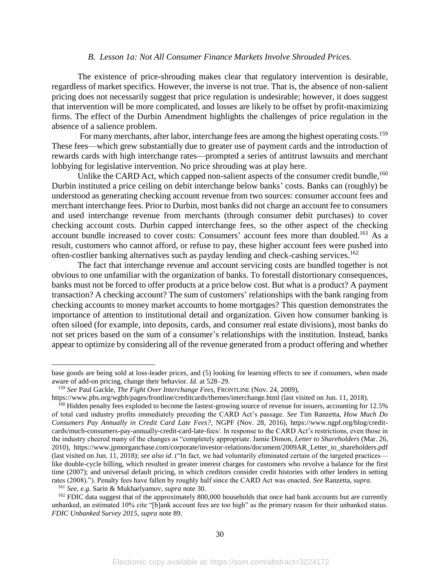## *B. Lesson 1a: Not All Consumer Finance Markets Involve Shrouded Prices.*

The existence of price-shrouding makes clear that regulatory intervention is desirable, regardless of market specifics. However, the inverse is not true. That is, the absence of non-salient pricing does not necessarily suggest that price regulation is undesirable; however, it does suggest that intervention will be more complicated, and losses are likely to be offset by profit-maximizing firms. The effect of the Durbin Amendment highlights the challenges of price regulation in the absence of a salience problem.

For many merchants, after labor, interchange fees are among the highest operating costs.<sup>159</sup> These fees—which grew substantially due to greater use of payment cards and the introduction of rewards cards with high interchange rates—prompted a series of antitrust lawsuits and merchant lobbying for legislative intervention. No price shrouding was at play here.

Unlike the CARD Act, which capped non-salient aspects of the consumer credit bundle,  $160$ Durbin instituted a price ceiling on debit interchange below banks' costs. Banks can (roughly) be understood as generating checking account revenue from two sources: consumer account fees and merchant interchange fees. Prior to Durbin, most banks did not charge an account fee to consumers and used interchange revenue from merchants (through consumer debit purchases) to cover checking account costs. Durbin capped interchange fees, so the other aspect of the checking account bundle increased to cover costs: Consumers' account fees more than doubled.<sup>161</sup> As a result, customers who cannot afford, or refuse to pay, these higher account fees were pushed into often-costlier banking alternatives such as payday lending and check-cashing services.<sup>162</sup>

The fact that interchange revenue and account servicing costs are bundled together is not obvious to one unfamiliar with the organization of banks. To forestall distortionary consequences, banks must not be forced to offer products at a price below cost. But what is a product? A payment transaction? A checking account? The sum of customers' relationships with the bank ranging from checking accounts to money market accounts to home mortgages? This question demonstrates the importance of attention to institutional detail and organization. Given how consumer banking is often siloed (for example, into deposits, cards, and consumer real estate divisions), most banks do not set prices based on the sum of a consumer's relationships with the institution. Instead, banks appear to optimize by considering all of the revenue generated from a product offering and whether

base goods are being sold at loss-leader prices, and (5) looking for learning effects to see if consumers, when made aware of add-on pricing, change their behavior. *Id.* at 528–29.

<sup>159</sup> *See* Paul Gackle, *The Fight Over Interchange Fees*, FRONTLINE (Nov. 24, 2009),

https://www.pbs.org/wgbh/pages/frontline/creditcards/themes/interchange.html (last visited on Jun. 11, 2018).

<sup>&</sup>lt;sup>160</sup> Hidden penalty fees exploded to become the fastest-growing source of revenue for issuers, accounting for 12.5% of total card industry profits immediately preceding the CARD Act's passage. *See* Tim Ranzetta, *How Much Do Consumers Pay Annually in Credit Card Late Fees?*, NGPF (Nov. 28, 2016), https://www.ngpf.org/blog/creditcards/much-consumers-pay-annually-credit-card-late-fees/. In response to the CARD Act's restrictions, even those in the industry cheered many of the changes as "completely appropriate. Jamie Dimon, *Letter to Shareholders* (Mar. 26, 2010), https://www.jpmorganchase.com/corporate/investor-relations/document/2009AR\_Letter\_to\_shareholders.pdf (last visited on Jun. 11, 2018); *see also id*. ("In fact, we had voluntarily eliminated certain of the targeted practices like double-cycle billing, which resulted in greater interest charges for customers who revolve a balance for the first time (2007); and universal default pricing, in which creditors consider credit histories with other lenders in setting rates (2008)."). Penalty fees have fallen by roughly half since the CARD Act was enacted. *See* Ranzetta, *supra*.

<sup>161</sup> *See, e.g.* Sarin & Mukharlyamov, *supra* note [30.](#page-9-0)

<sup>&</sup>lt;sup>162</sup> FDIC data suggest that of the approximately 800,000 households that once had bank accounts but are currently unbanked, an estimated 10% cite "[b]ank account fees are too high" as the primary reason for their unbanked status. *FDIC Unbanked Survey 2015, supra* note 89.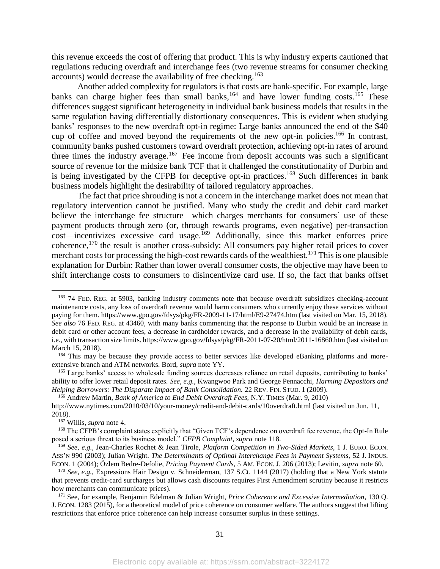this revenue exceeds the cost of offering that product. This is why industry experts cautioned that regulations reducing overdraft and interchange fees (two revenue streams for consumer checking accounts) would decrease the availability of free checking.<sup>163</sup>

Another added complexity for regulators is that costs are bank-specific. For example, large banks can charge higher fees than small banks,  $164$  and have lower funding costs.  $165$  These differences suggest significant heterogeneity in individual bank business models that results in the same regulation having differentially distortionary consequences. This is evident when studying banks' responses to the new overdraft opt-in regime: Large banks announced the end of the \$40 cup of coffee and moved beyond the requirements of the new opt-in policies.<sup>166</sup> In contrast, community banks pushed customers toward overdraft protection, achieving opt-in rates of around three times the industry average.<sup>167</sup> Fee income from deposit accounts was such a significant source of revenue for the midsize bank TCF that it challenged the constitutionality of Durbin and is being investigated by the CFPB for deceptive opt-in practices.<sup>168</sup> Such differences in bank business models highlight the desirability of tailored regulatory approaches.

The fact that price shrouding is not a concern in the interchange market does not mean that regulatory intervention cannot be justified. Many who study the credit and debit card market believe the interchange fee structure—which charges merchants for consumers' use of these payment products through zero (or, through rewards programs, even negative) per-transaction cost—incentivizes excessive card usage.<sup>169</sup> Additionally, since this market enforces price coherence,<sup>170</sup> the result is another cross-subsidy: All consumers pay higher retail prices to cover merchant costs for processing the high-cost rewards cards of the wealthiest.<sup>171</sup> This is one plausible explanation for Durbin: Rather than lower overall consumer costs, the objective may have been to shift interchange costs to consumers to disincentivize card use. If so, the fact that banks offset

<sup>166</sup> Andrew Martin, *Bank of America to End Debit Overdraft Fees,* N.Y. TIMES (Mar. 9, 2010)

<sup>&</sup>lt;sup>163</sup> 74 FED. REG. at 5903, banking industry comments note that because overdraft subsidizes checking-account maintenance costs, any loss of overdraft revenue would harm consumers who currently enjoy these services without paying for them. https://www.gpo.gov/fdsys/pkg/FR-2009-11-17/html/E9-27474.htm (last visited on Mar. 15, 2018). *See also* 76 FED. REG. at 43460, with many banks commenting that the response to Durbin would be an increase in debit card or other account fees, a decrease in cardholder rewards, and a decrease in the availability of debit cards, i.e., with transaction size limits. https://www.gpo.gov/fdsys/pkg/FR-2011-07-20/html/2011-16860.htm (last visited on March 15, 2018).

<sup>&</sup>lt;sup>164</sup> This may be because they provide access to better services like developed eBanking platforms and moreextensive branch and ATM networks. Bord, *supra* note YY.

<sup>165</sup> Large banks' access to wholesale funding sources decreases reliance on retail deposits, contributing to banks' ability to offer lower retail deposit rates. *See, e.g.*, Kwangwoo Park and George Pennacchi, *Harming Depositors and Helping Borrowers: The Disparate Impact of Bank Consolidation.* 22 REV. FIN. STUD. 1 (2009).

http://www.nytimes.com/2010/03/10/your-money/credit-and-debit-cards/10overdraft.html (last visited on Jun. 11, 2018).

<sup>167</sup> Willis, *supra* not[e 4.](#page-3-1)

<sup>&</sup>lt;sup>168</sup> The CFPB's complaint states explicitly that "Given TCF's dependence on overdraft fee revenue, the Opt-In Rule posed a serious threat to its business model." *CFPB Complaint, supra* note 118.

<sup>169</sup> *See*, *e.g.,* Jean-Charles Rochet & Jean Tirole, *Platform Competition in Two-Sided Markets*, 1 J. EURO. ECON. ASS'N 990 (2003); Julian Wright. *The Determinants of Optimal Interchange Fees in Payment Systems,* 52 J. INDUS. ECON. 1 (2004); Özlem Bedre-Defolie, *Pricing Payment Cards*, 5 AM. ECON. J. 206 (2013); Levitin, *supra* note 60.

<sup>170</sup> *See, e.g.,* Expressions Hair Design v. Schneiderman, 137 S.Ct. 1144 (2017) (holding that a New York statute that prevents credit-card surcharges but allows cash discounts requires First Amendment scrutiny because it restricts how merchants can communicate prices).

<sup>171</sup> See, for example, Benjamin Edelman & Julian Wright, *Price Coherence and Excessive Intermediation*, 130 Q. J. ECON. 1283 (2015), for a theoretical model of price coherence on consumer welfare. The authors suggest that lifting restrictions that enforce price coherence can help increase consumer surplus in these settings.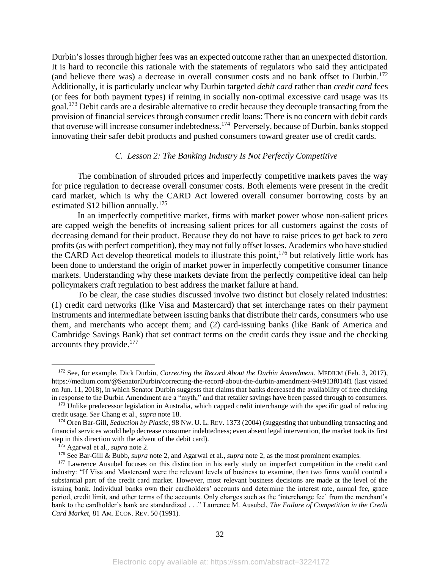Durbin's losses through higher fees was an expected outcome rather than an unexpected distortion. It is hard to reconcile this rationale with the statements of regulators who said they anticipated (and believe there was) a decrease in overall consumer costs and no bank offset to Durbin.<sup>172</sup> Additionally, it is particularly unclear why Durbin targeted *debit card* rather than *credit card* fees (or fees for both payment types) if reining in socially non-optimal excessive card usage was its goal.<sup>173</sup> Debit cards are a desirable alternative to credit because they decouple transacting from the provision of financial services through consumer credit loans: There is no concern with debit cards that overuse will increase consumer indebtedness.<sup>174</sup> Perversely, because of Durbin, banks stopped innovating their safer debit products and pushed consumers toward greater use of credit cards.

## *C. Lesson 2: The Banking Industry Is Not Perfectly Competitive*

The combination of shrouded prices and imperfectly competitive markets paves the way for price regulation to decrease overall consumer costs. Both elements were present in the credit card market, which is why the CARD Act lowered overall consumer borrowing costs by an estimated  $$12$  billion annually.<sup>175</sup>

In an imperfectly competitive market, firms with market power whose non-salient prices are capped weigh the benefits of increasing salient prices for all customers against the costs of decreasing demand for their product. Because they do not have to raise prices to get back to zero profits (as with perfect competition), they may not fully offset losses. Academics who have studied the CARD Act develop theoretical models to illustrate this point,  $176$  but relatively little work has been done to understand the origin of market power in imperfectly competitive consumer finance markets. Understanding why these markets deviate from the perfectly competitive ideal can help policymakers craft regulation to best address the market failure at hand.

To be clear, the case studies discussed involve two distinct but closely related industries: (1) credit card networks (like Visa and Mastercard) that set interchange rates on their payment instruments and intermediate between issuing banks that distribute their cards, consumers who use them, and merchants who accept them; and (2) card-issuing banks (like Bank of America and Cambridge Savings Bank) that set contract terms on the credit cards they issue and the checking accounts they provide.<sup>177</sup>

<span id="page-32-0"></span><sup>172</sup> See, for example*,* Dick Durbin, *Correcting the Record About the Durbin Amendment*, MEDIUM (Feb. 3, 2017), https://medium.com/@SenatorDurbin/correcting-the-record-about-the-durbin-amendment-94e913f014f1 (last visited on Jun. 11, 2018), in which Senator Durbin suggests that claims that banks decreased the availability of free checking in response to the Durbin Amendment are a "myth," and that retailer savings have been passed through to consumers.

<sup>&</sup>lt;sup>173</sup> Unlike predecessor legislation in Australia, which capped credit interchange with the specific goal of reducing credit usage. *See* Chang et al., *supra* not[e 18.](#page-5-0)

<sup>174</sup> Oren Bar-Gill, *Seduction by Plastic*, 98 NW. U. L. REV. 1373 (2004) (suggesting that unbundling transacting and financial services would help decrease consumer indebtedness; even absent legal intervention, the market took its first step in this direction with the advent of the debit card).

<sup>175</sup> Agarwal et al., *supra* not[e 2.](#page-3-0)

<sup>&</sup>lt;sup>176</sup> See Bar-Gill & Bubb, *supra* note [2,](#page-3-0) and Agarwal et al., *supra* note [2,](#page-3-0) as the most prominent examples.

<sup>&</sup>lt;sup>177</sup> Lawrence Ausubel focuses on this distinction in his early study on imperfect competition in the credit card industry: "If Visa and Mastercard were the relevant levels of business to examine, then two firms would control a substantial part of the credit card market. However, most relevant business decisions are made at the level of the issuing bank. Individual banks own their cardholders' accounts and determine the interest rate, annual fee, grace period, credit limit, and other terms of the accounts. Only charges such as the 'interchange fee' from the merchant's bank to the cardholder's bank are standardized . . ." Laurence M. Ausubel, *The Failure of Competition in the Credit Card Market,* 81 AM. ECON. REV. 50 (1991).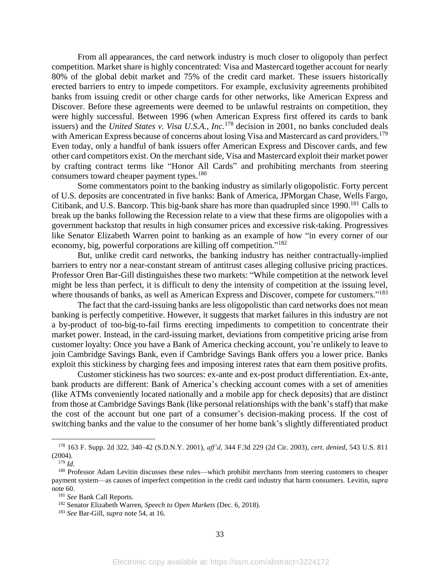From all appearances, the card network industry is much closer to oligopoly than perfect competition. Market share is highly concentrated: Visa and Mastercard together account for nearly 80% of the global debit market and 75% of the credit card market. These issuers historically erected barriers to entry to impede competitors. For example, exclusivity agreements prohibited banks from issuing credit or other charge cards for other networks, like American Express and Discover. Before these agreements were deemed to be unlawful restraints on competition, they were highly successful. Between 1996 (when American Express first offered its cards to bank issuers) and the *United States v. Visa U.S.A., Inc.*<sup>178</sup> decision in 2001, no banks concluded deals with American Express because of concerns about losing Visa and Mastercard as card providers.<sup>179</sup> Even today, only a handful of bank issuers offer American Express and Discover cards, and few other card competitors exist. On the merchant side, Visa and Mastercard exploit their market power by crafting contract terms like "Honor All Cards" and prohibiting merchants from steering consumers toward cheaper payment types.<sup>180</sup>

Some commentators point to the banking industry as similarly oligopolistic. Forty percent of U.S. deposits are concentrated in five banks: Bank of America, JPMorgan Chase, Wells Fargo, Citibank, and U.S. Bancorp. This big-bank share has more than quadrupled since 1990.<sup>181</sup> Calls to break up the banks following the Recession relate to a view that these firms are oligopolies with a government backstop that results in high consumer prices and excessive risk-taking. Progressives like Senator Elizabeth Warren point to banking as an example of how "in every corner of our economy, big, powerful corporations are killing off competition."<sup>182</sup>

But, unlike credit card networks, the banking industry has neither contractually-implied barriers to entry nor a near-constant stream of antitrust cases alleging collusive pricing practices. Professor Oren Bar-Gill distinguishes these two markets: "While competition at the network level might be less than perfect, it is difficult to deny the intensity of competition at the issuing level, where thousands of banks, as well as American Express and Discover, compete for customers."<sup>183</sup>

The fact that the card-issuing banks are less oligopolistic than card networks does not mean banking is perfectly competitive. However, it suggests that market failures in this industry are not a by-product of too-big-to-fail firms erecting impediments to competition to concentrate their market power. Instead, in the card-issuing market, deviations from competitive pricing arise from customer loyalty: Once you have a Bank of America checking account, you're unlikely to leave to join Cambridge Savings Bank, even if Cambridge Savings Bank offers you a lower price. Banks exploit this stickiness by charging fees and imposing interest rates that earn them positive profits.

Customer stickiness has two sources: ex-ante and ex-post product differentiation. Ex-ante, bank products are different: Bank of America's checking account comes with a set of amenities (like ATMs conveniently located nationally and a mobile app for check deposits) that are distinct from those at Cambridge Savings Bank (like personal relationships with the bank's staff) that make the cost of the account but one part of a consumer's decision-making process. If the cost of switching banks and the value to the consumer of her home bank's slightly differentiated product

<sup>178</sup> 163 F. Supp. 2d 322, 340–42 (S.D.N.Y. 2001), *aff'd*, 344 F.3d 229 (2d Cir. 2003), *cert. denied*, 543 U.S. 811 (2004).

<sup>179</sup> *Id.*

<sup>180</sup> Professor Adam Levitin discusses these rules—which prohibit merchants from steering customers to cheaper payment system—as causes of imperfect competition in the credit card industry that harm consumers. Levitin, *supra*  note 60.

<sup>181</sup> *See* Bank Call Reports.

<sup>182</sup> Senator Elizabeth Warren, *Speech to Open Markets* (Dec. 6, 2018).

<sup>183</sup> *See* Bar-Gill, *supra* note 54, at 16.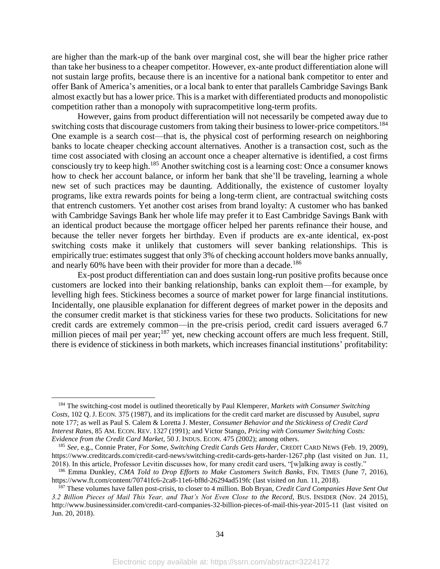are higher than the mark-up of the bank over marginal cost, she will bear the higher price rather than take her business to a cheaper competitor. However, ex-ante product differentiation alone will not sustain large profits, because there is an incentive for a national bank competitor to enter and offer Bank of America's amenities, or a local bank to enter that parallels Cambridge Savings Bank almost exactly but has a lower price. This is a market with differentiated products and monopolistic competition rather than a monopoly with supracompetitive long-term profits.

However, gains from product differentiation will not necessarily be competed away due to switching costs that discourage customers from taking their business to lower-price competitors.<sup>184</sup> One example is a search cost—that is, the physical cost of performing research on neighboring banks to locate cheaper checking account alternatives. Another is a transaction cost, such as the time cost associated with closing an account once a cheaper alternative is identified, a cost firms consciously try to keep high. <sup>185</sup> Another switching cost is a learning cost: Once a consumer knows how to check her account balance, or inform her bank that she'll be traveling, learning a whole new set of such practices may be daunting. Additionally, the existence of customer loyalty programs, like extra rewards points for being a long-term client, are contractual switching costs that entrench customers. Yet another cost arises from brand loyalty: A customer who has banked with Cambridge Savings Bank her whole life may prefer it to East Cambridge Savings Bank with an identical product because the mortgage officer helped her parents refinance their house, and because the teller never forgets her birthday. Even if products are ex-ante identical, ex-post switching costs make it unlikely that customers will sever banking relationships. This is empirically true: estimates suggest that only 3% of checking account holders move banks annually, and nearly 60% have been with their provider for more than a decade.<sup>186</sup>

Ex-post product differentiation can and does sustain long-run positive profits because once customers are locked into their banking relationship, banks can exploit them—for example, by levelling high fees. Stickiness becomes a source of market power for large financial institutions. Incidentally, one plausible explanation for different degrees of market power in the deposits and the consumer credit market is that stickiness varies for these two products. Solicitations for new credit cards are extremely common—in the pre-crisis period, credit card issuers averaged 6.7 million pieces of mail per year;<sup>187</sup> yet, new checking account offers are much less frequent. Still, there is evidence of stickiness in both markets, which increases financial institutions' profitability:

<sup>184</sup> The switching-cost model is outlined theoretically by Paul Klemperer, *Markets with Consumer Switching Costs,* 102 Q. J. ECON. 375 (1987), and its implications for the credit card market are discussed by Ausubel, *supra* not[e 177;](#page-32-0) as well as Paul S. Calem & Loretta J. Mester, *Consumer Behavior and the Stickiness of Credit Card Interest Rates*, 85 AM. ECON. REV. 1327 (1991)*;* and Victor Stango, *Pricing with Consumer Switching Costs: Evidence from the Credit Card Market,* 50 J. INDUS. ECON. 475 (2002); among others.

<sup>185</sup> *See,* e.g., Connie Prater, *For Some, Switching Credit Cards Gets Harder*, CREDIT CARD NEWS (Feb. 19, 2009), https://www.creditcards.com/credit-card-news/switching-credit-cards-gets-harder-1267.php (last visited on Jun. 11, 2018). In this article, Professor Levitin discusses how, for many credit card users, "[w]alking away is costly."

<sup>&</sup>lt;sup>186</sup> Emma Dunkley, *CMA Told to Drop Efforts to Make Customers Switch Banks*, FIN. TIMES (June 7, 2016), https://www.ft.com/content/70741fc6-2ca8-11e6-bf8d-26294ad519fc (last visited on Jun. 11, 2018).

<sup>187</sup> These volumes have fallen post-crisis, to closer to 4 million. Bob Bryan, *Credit Card Companies Have Sent Out 3.2 Billion Pieces of Mail This Year, and That's Not Even Close to the Record,* BUS. INSIDER (Nov. 24 2015), http://www.businessinsider.com/credit-card-companies-32-billion-pieces-of-mail-this-year-2015-11 (last visited on Jun. 20, 2018).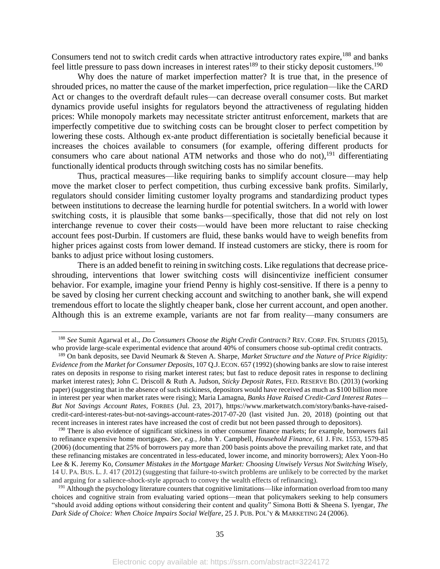Consumers tend not to switch credit cards when attractive introductory rates expire,<sup>188</sup> and banks feel little pressure to pass down increases in interest rates<sup>189</sup> to their sticky deposit customers.<sup>190</sup>

Why does the nature of market imperfection matter? It is true that, in the presence of shrouded prices, no matter the cause of the market imperfection, price regulation—like the CARD Act or changes to the overdraft default rules—can decrease overall consumer costs. But market dynamics provide useful insights for regulators beyond the attractiveness of regulating hidden prices: While monopoly markets may necessitate stricter antitrust enforcement, markets that are imperfectly competitive due to switching costs can be brought closer to perfect competition by lowering these costs. Although ex-ante product differentiation is societally beneficial because it increases the choices available to consumers (for example, offering different products for consumers who care about national ATM networks and those who do not), <sup>191</sup> differentiating functionally identical products through switching costs has no similar benefits.

Thus, practical measures—like requiring banks to simplify account closure—may help move the market closer to perfect competition, thus curbing excessive bank profits. Similarly, regulators should consider limiting customer loyalty programs and standardizing product types between institutions to decrease the learning hurdle for potential switchers. In a world with lower switching costs, it is plausible that some banks—specifically, those that did not rely on lost interchange revenue to cover their costs—would have been more reluctant to raise checking account fees post-Durbin. If customers are fluid, these banks would have to weigh benefits from higher prices against costs from lower demand. If instead customers are sticky, there is room for banks to adjust price without losing customers.

There is an added benefit to reining in switching costs. Like regulations that decrease priceshrouding, interventions that lower switching costs will disincentivize inefficient consumer behavior. For example, imagine your friend Penny is highly cost-sensitive. If there is a penny to be saved by closing her current checking account and switching to another bank, she will expend tremendous effort to locate the slightly cheaper bank, close her current account, and open another. Although this is an extreme example, variants are not far from reality—many consumers are

<sup>188</sup> *See* Sumit Agarwal et al., *Do Consumers Choose the Right Credit Contracts?* REV. CORP. FIN. STUDIES (2015), who provide large-scale experimental evidence that around 40% of consumers choose sub-optimal credit contracts.

<sup>189</sup> On bank deposits, see David Neumark & Steven A. Sharpe, *Market Structure and the Nature of Price Rigidity: Evidence from the Market for Consumer Deposits*, 107 Q.J.ECON. 657 (1992) (showing banks are slow to raise interest rates on deposits in response to rising market interest rates; but fast to reduce deposit rates in response to declining market interest rates); John C. Driscoll & Ruth A. Judson, *Sticky Deposit Rates*, FED. RESERVE BD. (2013) (working paper) (suggesting that in the absence of such stickiness, depositors would have received as much as \$100 billion more in interest per year when market rates were rising); Maria Lamagna, *Banks Have Raised Credit-Card Interest Rates— But Not Savings Account Rates*, FORBES (Jul. 23, 2017), https://www.marketwatch.com/story/banks-have-raisedcredit-card-interest-rates-but-not-savings-account-rates-2017-07-20 (last visited Jun. 20, 2018) (pointing out that recent increases in interest rates have increased the cost of credit but not been passed through to depositors).

<sup>&</sup>lt;sup>190</sup> There is also evidence of significant stickiness in other consumer finance markets; for example, borrowers fail to refinance expensive home mortgages. *See, e.g.,* John Y. Campbell, *Household Finance*, 61 J. FIN. 1553, 1579-85 (2006) (documenting that 25% of borrowers pay more than 200 basis points above the prevailing market rate, and that these refinancing mistakes are concentrated in less-educated, lower income, and minority borrowers); Alex Yoon-Ho Lee & K. Jeremy Ko, *Consumer Mistakes in the Mortgage Market: Choosing Unwisely Versus Not Switching Wisely,*  14 U. PA. BUS. L. J. 417 (2012) (suggesting that failure-to-switch problems are unlikely to be corrected by the market and arguing for a salience-shock-style approach to convey the wealth effects of refinancing).

<sup>&</sup>lt;sup>191</sup> Although the psychology literature counters that cognitive limitations—like information overload from too many choices and cognitive strain from evaluating varied options—mean that policymakers seeking to help consumers "should avoid adding options without considering their content and quality" Simona Botti & Sheena S. Iyengar, *The Dark Side of Choice: When Choice Impairs Social Welfare*, 25 J. PUB. POL'Y & MARKETING 24 (2006).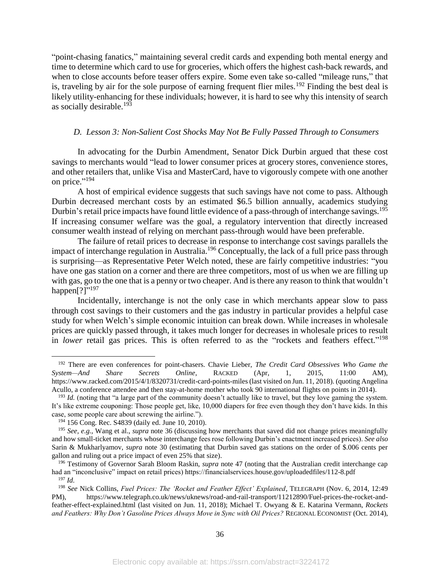"point-chasing fanatics," maintaining several credit cards and expending both mental energy and time to determine which card to use for groceries, which offers the highest cash-back rewards, and when to close accounts before teaser offers expire. Some even take so-called "mileage runs," that is, traveling by air for the sole purpose of earning frequent flier miles.<sup>192</sup> Finding the best deal is likely utility-enhancing for these individuals; however, it is hard to see why this intensity of search as socially desirable.<sup>193</sup>

# *D. Lesson 3: Non-Salient Cost Shocks May Not Be Fully Passed Through to Consumers*

In advocating for the Durbin Amendment, Senator Dick Durbin argued that these cost savings to merchants would "lead to lower consumer prices at grocery stores, convenience stores, and other retailers that, unlike Visa and MasterCard, have to vigorously compete with one another on price."<sup>194</sup>

A host of empirical evidence suggests that such savings have not come to pass. Although Durbin decreased merchant costs by an estimated \$6.5 billion annually, academics studying Durbin's retail price impacts have found little evidence of a pass-through of interchange savings.<sup>195</sup> If increasing consumer welfare was the goal, a regulatory intervention that directly increased consumer wealth instead of relying on merchant pass-through would have been preferable.

The failure of retail prices to decrease in response to interchange cost savings parallels the impact of interchange regulation in Australia.<sup>196</sup> Conceptually, the lack of a full price pass through is surprising—as Representative Peter Welch noted, these are fairly competitive industries: "you have one gas station on a corner and there are three competitors, most of us when we are filling up with gas, go to the one that is a penny or two cheaper. And is there any reason to think that wouldn't happen[?]"<sup>197</sup>

Incidentally, interchange is not the only case in which merchants appear slow to pass through cost savings to their customers and the gas industry in particular provides a helpful case study for when Welch's simple economic intuition can break down. While increases in wholesale prices are quickly passed through, it takes much longer for decreases in wholesale prices to result in *lower* retail gas prices. This is often referred to as the "rockets and feathers effect." 198

<sup>192</sup> There are even conferences for point-chasers. Chavie Lieber, *The Credit Card Obsessives Who Game the System—And Share Secrets Online*, RACKED (Apr, 1, 2015, 11:00 AM), https://www.racked.com/2015/4/1/8320731/credit-card-points-miles (last visited on Jun. 11, 2018). (quoting Angelina Acullo, a conference attendee and then stay-at-home mother who took 90 international flights on points in 2014).

<sup>&</sup>lt;sup>193</sup> *Id.* (noting that "a large part of the community doesn't actually like to travel, but they love gaming the system. It's like extreme couponing: Those people get, like, 10,000 diapers for free even though they don't have kids. In this case, some people care about screwing the airline.").

<sup>194</sup> 156 Cong. Rec. S4839 (daily ed. June 10, 2010).

<sup>195</sup> *See, e.g.,* Wang et al., *supra* note [36](#page-10-0) (discussing how merchants that saved did not change prices meaningfully and how small-ticket merchants whose interchange fees rose following Durbin's enactment increased prices). *See also* Sarin & Mukharlyamov, *supra* note [30](#page-9-0) (estimating that Durbin saved gas stations on the order of \$.006 cents per gallon and ruling out a price impact of even 25% that size).

<sup>196</sup> Testimony of Governor Sarah Bloom Raskin, *supra* note [47](#page-11-0) (noting that the Australian credit interchange cap had an "inconclusive" impact on retail prices) https://financialservices.house.gov/uploadedfiles/112-8.pdf <sup>197</sup> *Id.*

<sup>198</sup> *See* Nick Collins, *Fuel Prices: The 'Rocket and Feather Effect' Explained*, TELEGRAPH (Nov. 6, 2014, 12:49 PM), https://www.telegraph.co.uk/news/uknews/road-and-rail-transport/11212890/Fuel-prices-the-rocket-andfeather-effect-explained.html (last visited on Jun. 11, 2018); Michael T. Owyang & E. Katarina Vermann, *Rockets and Feathers: Why Don't Gasoline Prices Always Move in Sync with Oil Prices?* REGIONAL ECONOMIST (Oct. 2014),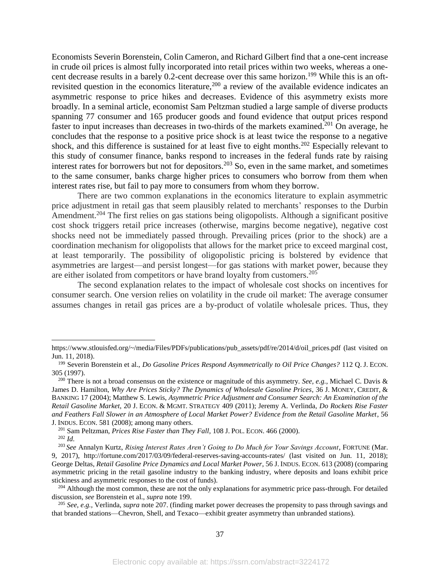<span id="page-37-0"></span>Economists Severin Borenstein, Colin Cameron, and Richard Gilbert find that a one-cent increase in crude oil prices is almost fully incorporated into retail prices within two weeks, whereas a onecent decrease results in a barely 0.2-cent decrease over this same horizon.<sup>199</sup> While this is an oftrevisited question in the economics literature,<sup>200</sup> a review of the available evidence indicates an asymmetric response to price hikes and decreases. Evidence of this asymmetry exists more broadly. In a seminal article, economist Sam Peltzman studied a large sample of diverse products spanning 77 consumer and 165 producer goods and found evidence that output prices respond faster to input increases than decreases in two-thirds of the markets examined.<sup>201</sup> On average, he concludes that the response to a positive price shock is at least twice the response to a negative shock, and this difference is sustained for at least five to eight months.<sup>202</sup> Especially relevant to this study of consumer finance, banks respond to increases in the federal funds rate by raising interest rates for borrowers but not for depositors.<sup>203</sup> So, even in the same market, and sometimes to the same consumer, banks charge higher prices to consumers who borrow from them when interest rates rise, but fail to pay more to consumers from whom they borrow.

There are two common explanations in the economics literature to explain asymmetric price adjustment in retail gas that seem plausibly related to merchants' responses to the Durbin Amendment.<sup>204</sup> The first relies on gas stations being oligopolists. Although a significant positive cost shock triggers retail price increases (otherwise, margins become negative), negative cost shocks need not be immediately passed through. Prevailing prices (prior to the shock) are a coordination mechanism for oligopolists that allows for the market price to exceed marginal cost, at least temporarily. The possibility of oligopolistic pricing is bolstered by evidence that asymmetries are largest—and persist longest—for gas stations with market power, because they are either isolated from competitors or have brand loyalty from customers.<sup>205</sup>

The second explanation relates to the impact of wholesale cost shocks on incentives for consumer search. One version relies on volatility in the crude oil market: The average consumer assumes changes in retail gas prices are a by-product of volatile wholesale prices. Thus, they

https://www.stlouisfed.org/~/media/Files/PDFs/publications/pub\_assets/pdf/re/2014/d/oil\_prices.pdf (last visited on Jun. 11, 2018).

<sup>199</sup> Severin Borenstein et al., *Do Gasoline Prices Respond Asymmetrically to Oil Price Changes?* 112 Q. J. ECON. 305 (1997).

<sup>200</sup> There is not a broad consensus on the existence or magnitude of this asymmetry. *See, e.g.*, Michael C. Davis & James D. Hamilton, *Why Are Prices Sticky? The Dynamics of Wholesale Gasoline Prices*, 36 J. MONEY, CREDIT, & BANKING 17 (2004); Matthew S. Lewis, *Asymmetric Price Adjustment and Consumer Search: An Examination of the Retail Gasoline Market*, 20 J. ECON. & MGMT. STRATEGY 409 (2011); Jeremy A. Verlinda, *Do Rockets Rise Faster and Feathers Fall Slower in an Atmosphere of Local Market Power? Evidence from the Retail Gasoline Market*, 56 J. INDUS. ECON. 581 (2008); among many others.

<sup>201</sup> Sam Peltzman, *Prices Rise Faster than They Fall*, 108 J. POL. ECON. 466 (2000).

<sup>202</sup> *Id.*

<sup>203</sup> *See* Annalyn Kurtz, *Rising Interest Rates Aren't Going to Do Much for Your Savings Account*, FORTUNE (Mar. 9, 2017), http://fortune.com/2017/03/09/federal-reserves-saving-accounts-rates/ (last visited on Jun. 11, 2018); George Deltas, *Retail Gasoline Price Dynamics and Local Market Power*, 56 J. INDUS. ECON. 613 (2008) (comparing asymmetric pricing in the retail gasoline industry to the banking industry, where deposits and loans exhibit price stickiness and asymmetric responses to the cost of funds).

<sup>&</sup>lt;sup>204</sup> Although the most common, these are not the only explanations for asymmetric price pass-through. For detailed discussion, *see* Borenstein et al., *supra* note [199.](#page-37-0)

<sup>205</sup> *See, e.g.,* Verlinda, *supra* note 207. (finding market power decreases the propensity to pass through savings and that branded stations—Chevron, Shell, and Texaco—exhibit greater asymmetry than unbranded stations).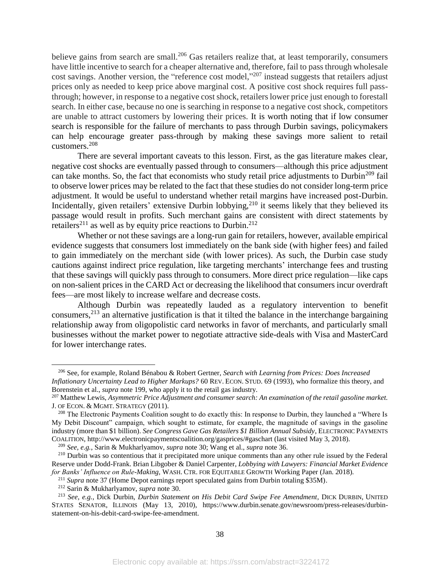believe gains from search are small.<sup>206</sup> Gas retailers realize that, at least temporarily, consumers have little incentive to search for a cheaper alternative and, therefore, fail to pass through wholesale cost savings. Another version, the "reference cost model,"<sup>207</sup> instead suggests that retailers adjust prices only as needed to keep price above marginal cost. A positive cost shock requires full passthrough; however, in response to a negative cost shock, retailers lower price just enough to forestall search. In either case, because no one is searching in response to a negative cost shock, competitors are unable to attract customers by lowering their prices. It is worth noting that if low consumer search is responsible for the failure of merchants to pass through Durbin savings, policymakers can help encourage greater pass-through by making these savings more salient to retail customers.<sup>208</sup>

There are several important caveats to this lesson. First, as the gas literature makes clear, negative cost shocks are eventually passed through to consumers—although this price adjustment can take months. So, the fact that economists who study retail price adjustments to Durbin<sup>209</sup> fail to observe lower prices may be related to the fact that these studies do not consider long-term price adjustment. It would be useful to understand whether retail margins have increased post-Durbin. Incidentally, given retailers' extensive Durbin lobbying,  $2^{10}$  it seems likely that they believed its passage would result in profits. Such merchant gains are consistent with direct statements by retailers<sup>211</sup> as well as by equity price reactions to Durbin.<sup>212</sup>

Whether or not these savings are a long-run gain for retailers, however, available empirical evidence suggests that consumers lost immediately on the bank side (with higher fees) and failed to gain immediately on the merchant side (with lower prices). As such, the Durbin case study cautions against indirect price regulation, like targeting merchants' interchange fees and trusting that these savings will quickly pass through to consumers. More direct price regulation—like caps on non-salient prices in the CARD Act or decreasing the likelihood that consumers incur overdraft fees—are most likely to increase welfare and decrease costs.

Although Durbin was repeatedly lauded as a regulatory intervention to benefit consumers,<sup>213</sup> an alternative justification is that it tilted the balance in the interchange bargaining relationship away from oligopolistic card networks in favor of merchants, and particularly small businesses without the market power to negotiate attractive side-deals with Visa and MasterCard for lower interchange rates.

<sup>206</sup> See, for example*,* Roland Bénabou & Robert Gertner, *Search with Learning from Prices: Does Increased Inflationary Uncertainty Lead to Higher Markups?* 60 REV. ECON. STUD. 69 (1993), who formalize this theory, and Borenstein et al., *supra* note [199,](#page-37-0) who apply it to the retail gas industry.

<sup>207</sup> Matthew Lewis, *Asymmetric Price Adjustment and consumer search: An examination of the retail gasoline market.* J. OF ECON. & MGMT. STRATEGY (2011).

<sup>&</sup>lt;sup>208</sup> The Electronic Payments Coalition sought to do exactly this: In response to Durbin, they launched a "Where Is My Debit Discount" campaign, which sought to estimate, for example, the magnitude of savings in the gasoline industry (more than \$1 billion). *See Congress Gave Gas Retailers \$1 Billion Annual Subsidy*, ELECTRONIC PAYMENTS COALITION, http://www.electronicpaymentscoalition.org/gasprices/#gaschart (last visited May 3, 2018).

<sup>209</sup> *See, e.g.*, Sarin & Mukharlyamov, *supra* note [30;](#page-9-0) Wang et al., *supra* note [36.](#page-10-0)

<sup>&</sup>lt;sup>210</sup> Durbin was so contentious that it precipitated more unique comments than any other rule issued by the Federal Reserve under Dodd-Frank. Brian Libgober & Daniel Carpenter, *Lobbying with Lawyers: Financial Market Evidence for Banks' Influence on Rule-Making,* WASH. CTR. FOR EQUITABLE GROWTH Working Paper (Jan. 2018).

<sup>&</sup>lt;sup>211</sup> Supra note 37 (Home Depot earnings report speculated gains from Durbin totaling \$35M).

<sup>212</sup> Sarin & Mukharlyamov, *supra* note [30.](#page-9-0)

<sup>213</sup> *See, e.g.*, Dick Durbin, *Durbin Statement on His Debit Card Swipe Fee Amendment*, DICK DURBIN, UNITED STATES SENATOR, ILLINOIS (May 13, 2010), https://www.durbin.senate.gov/newsroom/press-releases/durbinstatement-on-his-debit-card-swipe-fee-amendment.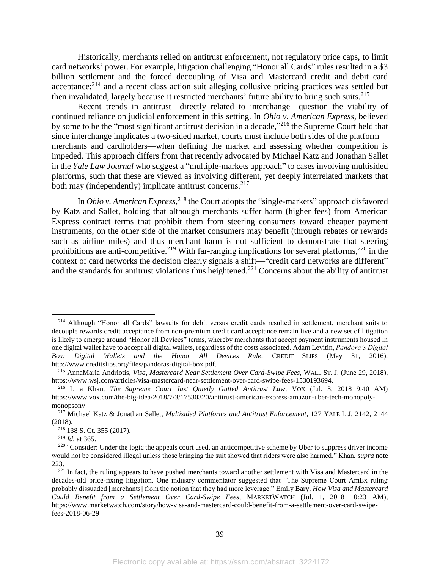Historically, merchants relied on antitrust enforcement, not regulatory price caps, to limit card networks' power. For example, litigation challenging "Honor all Cards" rules resulted in a \$3 billion settlement and the forced decoupling of Visa and Mastercard credit and debit card acceptance;<sup>214</sup> and a recent class action suit alleging collusive pricing practices was settled but then invalidated, largely because it restricted merchants' future ability to bring such suits.<sup>215</sup>

Recent trends in antitrust—directly related to interchange—question the viability of continued reliance on judicial enforcement in this setting. In *Ohio v. American Express*, believed by some to be the "most significant antitrust decision in a decade,"<sup>216</sup> the Supreme Court held that since interchange implicates a two-sided market, courts must include both sides of the platform merchants and cardholders—when defining the market and assessing whether competition is impeded. This approach differs from that recently advocated by Michael Katz and Jonathan Sallet in the *Yale Law Journal* who suggest a "multiple-markets approach" to cases involving multisided platforms, such that these are viewed as involving different, yet deeply interrelated markets that both may (independently) implicate antitrust concerns.<sup>217</sup>

In *Ohio v. American Express*, <sup>218</sup> the Court adopts the "single-markets" approach disfavored by Katz and Sallet, holding that although merchants suffer harm (higher fees) from American Express contract terms that prohibit them from steering consumers toward cheaper payment instruments, on the other side of the market consumers may benefit (through rebates or rewards such as airline miles) and thus merchant harm is not sufficient to demonstrate that steering prohibitions are anti-competitive.<sup>219</sup> With far-ranging implications for several platforms,<sup>220</sup> in the context of card networks the decision clearly signals a shift—"credit card networks are different" and the standards for antitrust violations thus heightened.<sup>221</sup> Concerns about the ability of antitrust

<sup>&</sup>lt;sup>214</sup> Although "Honor all Cards" lawsuits for debit versus credit cards resulted in settlement, merchant suits to decouple rewards credit acceptance from non-premium credit card acceptance remain live and a new set of litigation is likely to emerge around "Honor all Devices" terms, whereby merchants that accept payment instruments housed in one digital wallet have to accept all digital wallets, regardless of the costs associated. Adam Levitin, *Pandora's Digital Box: Digital Wallets and the Honor All Devices Rule*, CREDIT SLIPS (May 31, 2016), http://www.creditslips.org/files/pandoras-digital-box.pdf.

<sup>215</sup> AnnaMaria Andriotis, *Visa, Mastercard Near Settlement Over Card-Swipe Fees*, WALL ST. J. (June 29, 2018), https://www.wsj.com/articles/visa-mastercard-near-settlement-over-card-swipe-fees-1530193694.

<sup>216</sup> Lina Khan, *The Supreme Court Just Quietly Gutted Antitrust Law*, VOX (Jul. 3, 2018 9:40 AM) https://www.vox.com/the-big-idea/2018/7/3/17530320/antitrust-american-express-amazon-uber-tech-monopolymonopsony

<sup>217</sup> Michael Katz & Jonathan Sallet, *Multisided Platforms and Antitrust Enforcement*, 127 YALE L.J. 2142, 2144 (2018).

<sup>218</sup> 138 S. Ct. 355 (2017).

<sup>219</sup> *Id.* at 365.

<sup>&</sup>lt;sup>220</sup> "Consider: Under the logic the appeals court used, an anticompetitive scheme by Uber to suppress driver income would not be considered illegal unless those bringing the suit showed that riders were also harmed." Khan, *supra* note 223.

<sup>&</sup>lt;sup>221</sup> In fact, the ruling appears to have pushed merchants toward another settlement with Visa and Mastercard in the decades-old price-fixing litigation. One industry commentator suggested that "The Supreme Court AmEx ruling probably dissuaded [merchants] from the notion that they had more leverage." Emily Bary, *How Visa and Mastercard Could Benefit from a Settlement Over Card-Swipe Fees*, MARKETWATCH (Jul. 1, 2018 10:23 AM), https://www.marketwatch.com/story/how-visa-and-mastercard-could-benefit-from-a-settlement-over-card-swipefees-2018-06-29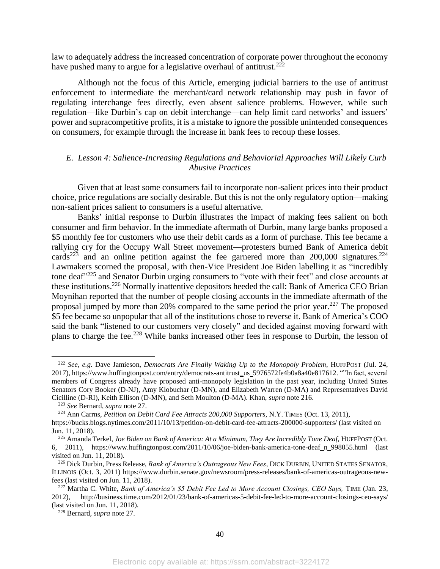law to adequately address the increased concentration of corporate power throughout the economy have pushed many to argue for a legislative overhaul of antitrust.<sup>222</sup>

Although not the focus of this Article, emerging judicial barriers to the use of antitrust enforcement to intermediate the merchant/card network relationship may push in favor of regulating interchange fees directly, even absent salience problems. However, while such regulation—like Durbin's cap on debit interchange—can help limit card networks' and issuers' power and supracompetitive profits, it is a mistake to ignore the possible unintended consequences on consumers, for example through the increase in bank fees to recoup these losses.

# *E. Lesson 4: Salience-Increasing Regulations and Behaviorial Approaches Will Likely Curb Abusive Practices*

Given that at least some consumers fail to incorporate non-salient prices into their product choice, price regulations are socially desirable. But this is not the only regulatory option—making non-salient prices salient to consumers is a useful alternative.

Banks' initial response to Durbin illustrates the impact of making fees salient on both consumer and firm behavior. In the immediate aftermath of Durbin, many large banks proposed a \$5 monthly fee for customers who use their debit cards as a form of purchase. This fee became a rallying cry for the Occupy Wall Street movement—protesters burned Bank of America debit cards<sup>223</sup> and an online petition against the fee garnered more than 200,000 signatures.<sup>224</sup> Lawmakers scorned the proposal, with then-Vice President Joe Biden labelling it as "incredibly tone deaf"<sup>225</sup> and Senator Durbin urging consumers to "vote with their feet" and close accounts at these institutions.<sup>226</sup> Normally inattentive depositors heeded the call: Bank of America CEO Brian Moynihan reported that the number of people closing accounts in the immediate aftermath of the proposal jumped by more than 20% compared to the same period the prior year.<sup>227</sup> The proposed \$5 fee became so unpopular that all of the institutions chose to reverse it. Bank of America's COO said the bank "listened to our customers very closely" and decided against moving forward with plans to charge the fee.<sup>228</sup> While banks increased other fees in response to Durbin, the lesson of

<sup>222</sup> *See, e.g.* Dave Jamieson, *Democrats Are Finally Waking Up to the Monopoly Problem*, HUFFPOST (Jul. 24, 2017), https://www.huffingtonpost.com/entry/democrats-antitrust\_us 5976572fe4b0a8a40e817612. ""In fact, several members of Congress already have proposed anti-monopoly legislation in the past year, including United States Senators Cory Booker (D-NJ), Amy Klobuchar (D-MN), and Elizabeth Warren (D-MA) and Representatives David Cicilline (D-RI), Keith Ellison (D-MN), and Seth Moulton (D-MA). Khan, *supra* note 216.

<sup>223</sup> *See* Bernard, *supra* note [27.](#page-7-0)

<sup>224</sup> Ann Carrns, *Petition on Debit Card Fee Attracts 200,000 Supporters*, N.Y. TIMES (Oct. 13, 2011),

https://bucks.blogs.nytimes.com/2011/10/13/petition-on-debit-card-fee-attracts-200000-supporters/ (last visited on Jun. 11, 2018).

<sup>225</sup> Amanda Terkel, *Joe Biden on Bank of America: At a Minimum, They Are Incredibly Tone Deaf,* HUFFPOST (Oct. 6, 2011), https://www.huffingtonpost.com/2011/10/06/joe-biden-bank-america-tone-deaf\_n\_998055.html (last visited on Jun. 11, 2018).

<sup>226</sup> Dick Durbin, Press Release, *Bank of America's Outrageous New Fees*, DICK DURBIN, UNITED STATES SENATOR, ILLINOIS (Oct. 3, 2011) https://www.durbin.senate.gov/newsroom/press-releases/bank-of-americas-outrageous-newfees (last visited on Jun. 11, 2018).

<sup>227</sup> Martha C. White, *Bank of America's \$5 Debit Fee Led to More Account Closings, CEO Says,* TIME (Jan. 23, 2012), http://business.time.com/2012/01/23/bank-of-americas-5-debit-fee-led-to-more-account-closings-ceo-says/ (last visited on Jun. 11, 2018).

<sup>228</sup> Bernard, *supra* not[e 27.](#page-7-0)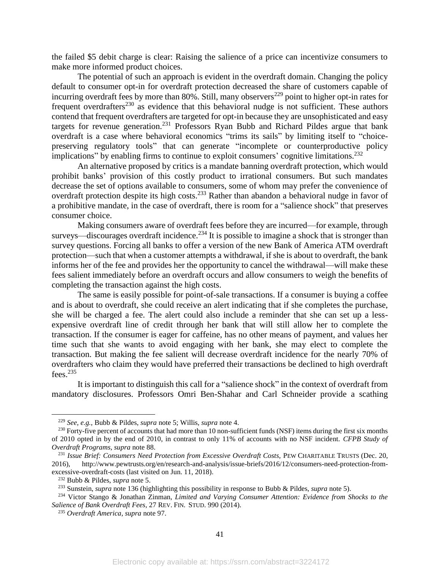the failed \$5 debit charge is clear: Raising the salience of a price can incentivize consumers to make more informed product choices.

The potential of such an approach is evident in the overdraft domain. Changing the policy default to consumer opt-in for overdraft protection decreased the share of customers capable of incurring overdraft fees by more than  $80\%$ . Still, many observers<sup>229</sup> point to higher opt-in rates for frequent overdrafters<sup>230</sup> as evidence that this behavioral nudge is not sufficient. These authors contend that frequent overdrafters are targeted for opt-in because they are unsophisticated and easy targets for revenue generation.<sup>231</sup> Professors Ryan Bubb and Richard Pildes argue that bank overdraft is a case where behavioral economics "trims its sails" by limiting itself to "choicepreserving regulatory tools" that can generate "incomplete or counterproductive policy implications" by enabling firms to continue to exploit consumers' cognitive limitations.<sup>232</sup>

An alternative proposed by critics is a mandate banning overdraft protection, which would prohibit banks' provision of this costly product to irrational consumers. But such mandates decrease the set of options available to consumers, some of whom may prefer the convenience of overdraft protection despite its high costs.<sup>233</sup> Rather than abandon a behavioral nudge in favor of a prohibitive mandate, in the case of overdraft, there is room for a "salience shock" that preserves consumer choice.

Making consumers aware of overdraft fees before they are incurred—for example, through surveys—discourages overdraft incidence.<sup>234</sup> It is possible to imagine a shock that is stronger than survey questions. Forcing all banks to offer a version of the new Bank of America ATM overdraft protection—such that when a customer attempts a withdrawal, if she is about to overdraft, the bank informs her of the fee and provides her the opportunity to cancel the withdrawal—will make these fees salient immediately before an overdraft occurs and allow consumers to weigh the benefits of completing the transaction against the high costs.

The same is easily possible for point-of-sale transactions. If a consumer is buying a coffee and is about to overdraft, she could receive an alert indicating that if she completes the purchase, she will be charged a fee. The alert could also include a reminder that she can set up a lessexpensive overdraft line of credit through her bank that will still allow her to complete the transaction. If the consumer is eager for caffeine, has no other means of payment, and values her time such that she wants to avoid engaging with her bank, she may elect to complete the transaction. But making the fee salient will decrease overdraft incidence for the nearly 70% of overdrafters who claim they would have preferred their transactions be declined to high overdraft fees. $235$ 

It is important to distinguish this call for a "salience shock" in the context of overdraft from mandatory disclosures. Professors Omri Ben-Shahar and Carl Schneider provide a scathing

<sup>229</sup> *See, e.g.,* Bubb & Pildes, *supra* note [5;](#page-3-2) Willis, *supra* note [4.](#page-3-1)

<sup>&</sup>lt;sup>230</sup> Forty-five percent of accounts that had more than 10 non-sufficient funds (NSF) items during the first six months of 2010 opted in by the end of 2010, in contrast to only 11% of accounts with no NSF incident. *CFPB Study of Overdraft Programs, supra* note 88.

<sup>231</sup> *Issue Brief: Consumers Need Protection from Excessive Overdraft Costs,* PEW CHARITABLE TRUSTS (Dec. 20, 2016), http://www.pewtrusts.org/en/research-and-analysis/issue-briefs/2016/12/consumers-need-protection-fromexcessive-overdraft-costs (last visited on Jun. 11, 2018).

<sup>232</sup> Bubb & Pildes, *supra* note [5.](#page-3-2)

<sup>233</sup> Sunstein, *supra* note 136 (highlighting this possibility in response to Bubb & Pildes, *supra* note [5\)](#page-3-2).

<sup>234</sup> Victor Stango & Jonathan Zinman, *Limited and Varying Consumer Attention: Evidence from Shocks to the Salience of Bank Overdraft Fees,* 27 REV. FIN. STUD. 990 (2014).

<sup>235</sup> *Overdraft America*, *supra* note 97.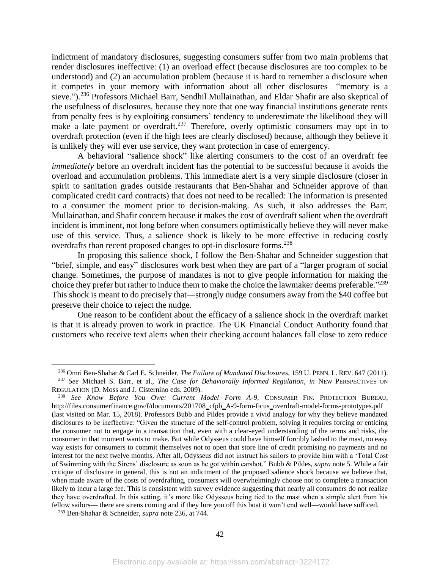<span id="page-42-0"></span>indictment of mandatory disclosures, suggesting consumers suffer from two main problems that render disclosures ineffective: (1) an overload effect (because disclosures are too complex to be understood) and (2) an accumulation problem (because it is hard to remember a disclosure when it competes in your memory with information about all other disclosures—"memory is a sieve.").<sup>236</sup> Professors Michael Barr, Sendhil Mullainathan, and Eldar Shafir are also skeptical of the usefulness of disclosures, because they note that one way financial institutions generate rents from penalty fees is by exploiting consumers' tendency to underestimate the likelihood they will make a late payment or overdraft.<sup>237</sup> Therefore, overly optimistic consumers may opt in to overdraft protection (even if the high fees are clearly disclosed) because, although they believe it is unlikely they will ever use service, they want protection in case of emergency.

A behavioral "salience shock" like alerting consumers to the cost of an overdraft fee *immediately* before an overdraft incident has the potential to be successful because it avoids the overload and accumulation problems. This immediate alert is a very simple disclosure (closer in spirit to sanitation grades outside restaurants that Ben-Shahar and Schneider approve of than complicated credit card contracts) that does not need to be recalled: The information is presented to a consumer the moment prior to decision-making. As such, it also addresses the Barr, Mullainathan, and Shafir concern because it makes the cost of overdraft salient when the overdraft incident is imminent, not long before when consumers optimistically believe they will never make use of this service. Thus, a salience shock is likely to be more effective in reducing costly overdrafts than recent proposed changes to opt-in disclosure forms.<sup>238</sup>

In proposing this salience shock, I follow the Ben-Shahar and Schneider suggestion that "brief, simple, and easy" disclosures work best when they are part of a "larger program of social change. Sometimes, the purpose of mandates is not to give people information for making the choice they prefer but rather to induce them to make the choice the lawmaker deems preferable."<sup>239</sup> This shock is meant to do precisely that—strongly nudge consumers away from the \$40 coffee but preserve their choice to reject the nudge.

One reason to be confident about the efficacy of a salience shock in the overdraft market is that it is already proven to work in practice. The UK Financial Conduct Authority found that customers who receive text alerts when their checking account balances fall close to zero reduce

<sup>236</sup> Omri Ben-Shahar & Carl E. Schneider, *The Failure of Mandated Disclosures*, 159 U. PENN. L. REV. 647 (2011).

<sup>237</sup> *See* Michael S. Barr, et al., *The Case for Behaviorally Informed Regulation*, *in* NEW PERSPECTIVES ON REGULATION (D. Moss and J. Cisternino eds. 2009).

<sup>238</sup> *See Know Before You Owe: Current Model Form A-9,* CONSUMER FIN. PROTECTION BUREAU, http://files.consumerfinance.gov/f/documents/201708\_cfpb\_A-9-form-ficus\_overdraft-model-forms-prototypes.pdf (last visited on Mar. 15, 2018). Professors Bubb and Pildes provide a vivid analogy for why they believe mandated disclosures to be ineffective: "Given the structure of the self-control problem, solving it requires forcing or enticing the consumer not to engage in a transaction that, even with a clear-eyed understanding of the terms and risks, the consumer in that moment wants to make. But while Odysseus could have himself forcibly lashed to the mast, no easy way exists for consumers to commit themselves not to open that store line of credit promising no payments and no interest for the next twelve months. After all, Odysseus did not instruct his sailors to provide him with a 'Total Cost of Swimming with the Sirens' disclosure as soon as he got within earshot." Bubb & Pildes, *supra* not[e 5.](#page-3-2) While a fair critique of disclosure in general, this is not an indictment of the proposed salience shock because we believe that, when made aware of the costs of overdrafting, consumers will overwhelmingly choose not to complete a transaction likely to incur a large fee. This is consistent with survey evidence suggesting that nearly all consumers do not realize they have overdrafted. In this setting, it's more like Odysseus being tied to the mast when a simple alert from his fellow sailors— there are sirens coming and if they lure you off this boat it won't end well—would have sufficed.

<sup>239</sup> Ben-Shahar & Schneider, *supra* note [236,](#page-42-0) at 744.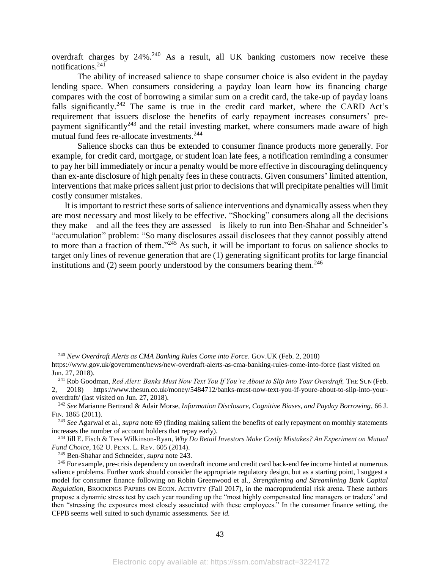overdraft charges by  $24\%$ .<sup>240</sup> As a result, all UK banking customers now receive these notifications. $241$ 

The ability of increased salience to shape consumer choice is also evident in the payday lending space. When consumers considering a payday loan learn how its financing charge compares with the cost of borrowing a similar sum on a credit card, the take-up of payday loans falls significantly.<sup>242</sup> The same is true in the credit card market, where the CARD Act's requirement that issuers disclose the benefits of early repayment increases consumers' prepayment significantly<sup>243</sup> and the retail investing market, where consumers made aware of high mutual fund fees re-allocate investments. 244

Salience shocks can thus be extended to consumer finance products more generally. For example, for credit card, mortgage, or student loan late fees, a notification reminding a consumer to pay her bill immediately or incur a penalty would be more effective in discouraging delinquency than ex-ante disclosure of high penalty fees in these contracts. Given consumers' limited attention, interventions that make prices salient just prior to decisions that will precipitate penalties will limit costly consumer mistakes.

It is important to restrict these sorts of salience interventions and dynamically assess when they are most necessary and most likely to be effective. "Shocking" consumers along all the decisions they make—and all the fees they are assessed—is likely to run into Ben-Shahar and Schneider's "accumulation" problem: "So many disclosures assail disclosees that they cannot possibly attend to more than a fraction of them."<sup>245</sup> As such, it will be important to focus on salience shocks to target only lines of revenue generation that are (1) generating significant profits for large financial institutions and (2) seem poorly understood by the consumers bearing them.<sup>246</sup>

<sup>240</sup> *New Overdraft Alerts as CMA Banking Rules Come into Force*. GOV.UK (Feb. 2, 2018)

https://www.gov.uk/government/news/new-overdraft-alerts-as-cma-banking-rules-come-into-force (last visited on Jun. 27, 2018).

<sup>241</sup> Rob Goodman, *Red Alert: Banks Must Now Text You If You're About to Slip into Your Overdraft,* THE SUN (Feb. 2, 2018) https://www.thesun.co.uk/money/5484712/banks-must-now-text-you-if-youre-about-to-slip-into-your-

overdraft/ (last visited on Jun. 27, 2018).

<sup>242</sup> *See* Marianne Bertrand & Adair Morse, *Information Disclosure, Cognitive Biases, and Payday Borrowing*, 66 J. FIN. 1865 (2011).

<sup>243</sup> *See* Agarwal et al., *supra* note [69](#page-14-1) (finding making salient the benefits of early repayment on monthly statements increases the number of account holders that repay early).

<sup>244</sup> Jill E. Fisch & Tess Wilkinson-Ryan, *Why Do Retail Investors Make Costly Mistakes? An Experiment on Mutual Fund Choice*, 162 U. PENN. L. REV. 605 (2014).

<sup>245</sup> Ben-Shahar and Schneider, *supra* note 243.

<sup>&</sup>lt;sup>246</sup> For example, pre-crisis dependency on overdraft income and credit card back-end fee income hinted at numerous salience problems. Further work should consider the appropriate regulatory design, but as a starting point, I suggest a model for consumer finance following on Robin Greenwood et al., *Strengthening and Streamlining Bank Capital Regulation*, BROOKINGS PAPERS ON ECON. ACTIVITY (Fall 2017), in the macroprudential risk arena. These authors propose a dynamic stress test by each year rounding up the "most highly compensated line managers or traders" and then "stressing the exposures most closely associated with these employees." In the consumer finance setting, the CFPB seems well suited to such dynamic assessments. *See id.*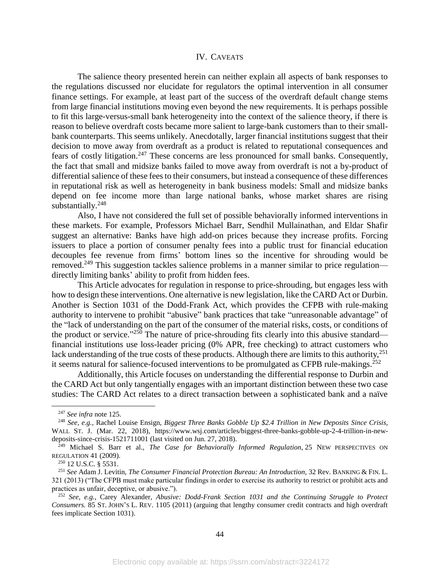#### IV. CAVEATS

The salience theory presented herein can neither explain all aspects of bank responses to the regulations discussed nor elucidate for regulators the optimal intervention in all consumer finance settings. For example, at least part of the success of the overdraft default change stems from large financial institutions moving even beyond the new requirements. It is perhaps possible to fit this large-versus-small bank heterogeneity into the context of the salience theory, if there is reason to believe overdraft costs became more salient to large-bank customers than to their smallbank counterparts. This seems unlikely. Anecdotally, larger financial institutions suggest that their decision to move away from overdraft as a product is related to reputational consequences and fears of costly litigation.<sup>247</sup> These concerns are less pronounced for small banks. Consequently, the fact that small and midsize banks failed to move away from overdraft is not a by-product of differential salience of these fees to their consumers, but instead a consequence of these differences in reputational risk as well as heterogeneity in bank business models: Small and midsize banks depend on fee income more than large national banks, whose market shares are rising substantially.<sup>248</sup>

Also, I have not considered the full set of possible behaviorally informed interventions in these markets. For example, Professors Michael Barr, Sendhil Mullainathan, and Eldar Shafir suggest an alternative: Banks have high add-on prices because they increase profits. Forcing issuers to place a portion of consumer penalty fees into a public trust for financial education decouples fee revenue from firms' bottom lines so the incentive for shrouding would be removed.<sup>249</sup> This suggestion tackles salience problems in a manner similar to price regulation directly limiting banks' ability to profit from hidden fees.

This Article advocates for regulation in response to price-shrouding, but engages less with how to design these interventions. One alternative is new legislation, like the CARD Act or Durbin. Another is Section 1031 of the Dodd-Frank Act, which provides the CFPB with rule-making authority to intervene to prohibit "abusive" bank practices that take "unreasonable advantage" of the "lack of understanding on the part of the consumer of the material risks, costs, or conditions of the product or service."<sup>250</sup> The nature of price-shrouding fits clearly into this abusive standard financial institutions use loss-leader pricing (0% APR, free checking) to attract customers who lack understanding of the true costs of these products. Although there are limits to this authority,  $251$ it seems natural for salience-focused interventions to be promulgated as CFPB rule-makings.<sup>252</sup>

Additionally, this Article focuses on understanding the differential response to Durbin and the CARD Act but only tangentially engages with an important distinction between these two case studies: The CARD Act relates to a direct transaction between a sophisticated bank and a naïve

<sup>247</sup> *See infra* note [125.](#page-20-0) 

<sup>248</sup> *See, e.g.,* Rachel Louise Ensign, *Biggest Three Banks Gobble Up \$2.4 Trillion in New Deposits Since Crisis,* WALL ST. J. (Mar. 22, 2018), https://www.wsj.com/articles/biggest-three-banks-gobble-up-2-4-trillion-in-newdeposits-since-crisis-1521711001 (last visited on Jun. 27, 2018).

<sup>249</sup> Michael S. Barr et al., *The Case for Behaviorally Informed Regulation*, 25 NEW PERSPECTIVES ON REGULATION 41 (2009).

<sup>250</sup> 12 U.S.C. § 5531.

<sup>251</sup> *See* Adam J. Levitin, *The Consumer Financial Protection Bureau: An Introduction,* 32 Rev. BANKING & FIN. L. 321 (2013) ("The CFPB must make particular findings in order to exercise its authority to restrict or prohibit acts and practices as unfair, deceptive, or abusive.").

<sup>252</sup> *See, e.g.,* Carey Alexander, *Abusive: Dodd-Frank Section 1031 and the Continuing Struggle to Protect Consumers.* 85 ST. JOHN'S L. REV. 1105 (2011) (arguing that lengthy consumer credit contracts and high overdraft fees implicate Section 1031).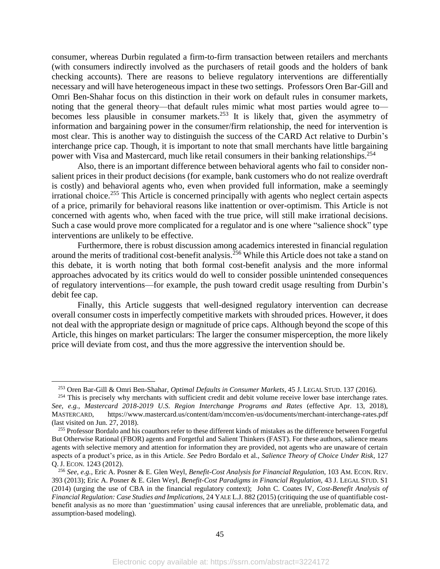consumer, whereas Durbin regulated a firm-to-firm transaction between retailers and merchants (with consumers indirectly involved as the purchasers of retail goods and the holders of bank checking accounts). There are reasons to believe regulatory interventions are differentially necessary and will have heterogeneous impact in these two settings. Professors Oren Bar-Gill and Omri Ben-Shahar focus on this distinction in their work on default rules in consumer markets, noting that the general theory—that default rules mimic what most parties would agree to becomes less plausible in consumer markets.<sup>253</sup> It is likely that, given the asymmetry of information and bargaining power in the consumer/firm relationship, the need for intervention is most clear. This is another way to distinguish the success of the CARD Act relative to Durbin's interchange price cap. Though, it is important to note that small merchants have little bargaining power with Visa and Mastercard, much like retail consumers in their banking relationships.<sup>254</sup>

Also, there is an important difference between behavioral agents who fail to consider nonsalient prices in their product decisions (for example, bank customers who do not realize overdraft is costly) and behavioral agents who, even when provided full information, make a seemingly irrational choice.<sup>255</sup> This Article is concerned principally with agents who neglect certain aspects of a price, primarily for behavioral reasons like inattention or over-optimism. This Article is not concerned with agents who, when faced with the true price, will still make irrational decisions. Such a case would prove more complicated for a regulator and is one where "salience shock" type interventions are unlikely to be effective.

Furthermore, there is robust discussion among academics interested in financial regulation around the merits of traditional cost-benefit analysis.<sup>256</sup> While this Article does not take a stand on this debate, it is worth noting that both formal cost-benefit analysis and the more informal approaches advocated by its critics would do well to consider possible unintended consequences of regulatory interventions—for example, the push toward credit usage resulting from Durbin's debit fee cap.

Finally, this Article suggests that well-designed regulatory intervention can decrease overall consumer costs in imperfectly competitive markets with shrouded prices. However, it does not deal with the appropriate design or magnitude of price caps. Although beyond the scope of this Article, this hinges on market particulars: The larger the consumer misperception, the more likely price will deviate from cost, and thus the more aggressive the intervention should be.

<sup>253</sup> Oren Bar-Gill & Omri Ben-Shahar, *Optimal Defaults in Consumer Markets*, 45 J. LEGAL STUD. 137 (2016).

<sup>&</sup>lt;sup>254</sup> This is precisely why merchants with sufficient credit and debit volume receive lower base interchange rates. *See, e.g., Mastercard 2018-2019 U.S. Region Interchange Programs and Rates* (effective Apr. 13, 2018), MASTERCARD, https://www.mastercard.us/content/dam/mccom/en-us/documents/merchant-interchange-rates.pdf (last visited on Jun. 27, 2018).

<sup>&</sup>lt;sup>255</sup> Professor Bordalo and his coauthors refer to these different kinds of mistakes as the difference between Forgetful But Otherwise Rational (FBOR) agents and Forgetful and Salient Thinkers (FAST). For these authors, salience means agents with selective memory and attention for information they are provided, not agents who are unaware of certain aspects of a product's price, as in this Article. *See* Pedro Bordalo et al., *Salience Theory of Choice Under Risk*, 127 Q. J. ECON. 1243 (2012).

<sup>256</sup> *See, e.g.,* Eric A. Posner & E. Glen Weyl, *Benefit-Cost Analysis for Financial Regulation,* 103 AM. ECON. REV. 393 (2013); Eric A. Posner & E. Glen Weyl, *Benefit-Cost Paradigms in Financial Regulation,* 43 J. LEGAL STUD. S1 (2014) (urging the use of CBA in the financial regulatory context); John C. Coates IV, *Cost-Benefit Analysis of Financial Regulation: Case Studies and Implications,* 24 YALE L.J. 882 (2015) (critiquing the use of quantifiable costbenefit analysis as no more than 'guestimmation' using causal inferences that are unreliable, problematic data, and assumption-based modeling).